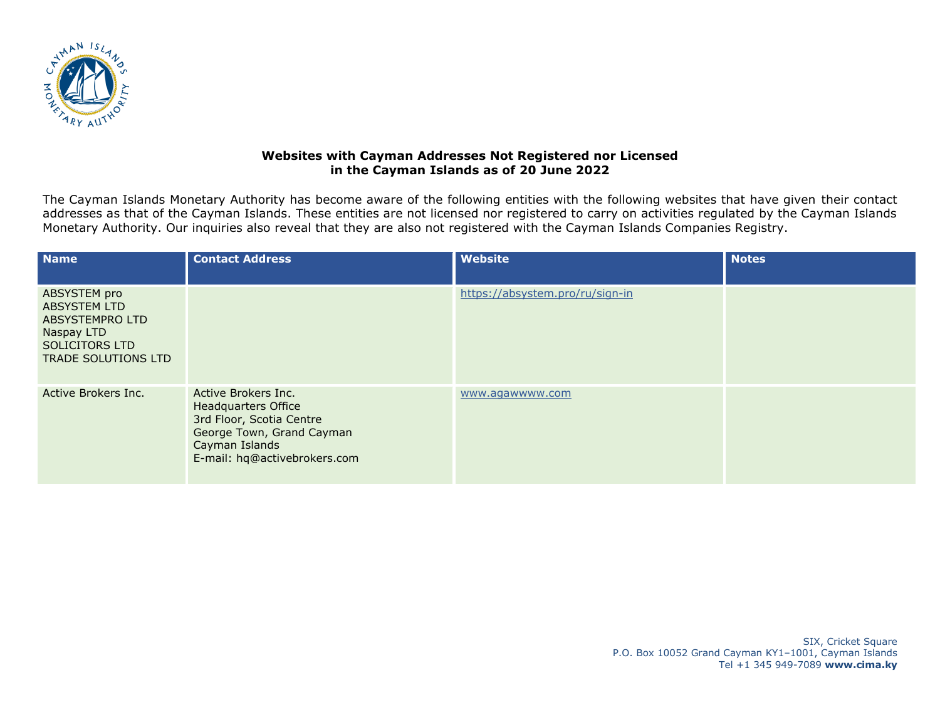

## **Websites with Cayman Addresses Not Registered nor Licensed in the Cayman Islands as of 20 June 2022**

The Cayman Islands Monetary Authority has become aware of the following entities with the following websites that have given their contact addresses as that of the Cayman Islands. These entities are not licensed nor registered to carry on activities regulated by the Cayman Islands Monetary Authority. Our inquiries also reveal that they are also not registered with the Cayman Islands Companies Registry.

| <b>Name</b>                                                                                                          | <b>Contact Address</b>                                                                                                                                       | Website                         | <b>Notes</b> |
|----------------------------------------------------------------------------------------------------------------------|--------------------------------------------------------------------------------------------------------------------------------------------------------------|---------------------------------|--------------|
| ABSYSTEM pro<br><b>ABSYSTEM LTD</b><br>ABSYSTEMPRO LTD<br>Naspay LTD<br>SOLICITORS LTD<br><b>TRADE SOLUTIONS LTD</b> |                                                                                                                                                              | https://absystem.pro/ru/sign-in |              |
| Active Brokers Inc.                                                                                                  | Active Brokers Inc.<br><b>Headquarters Office</b><br>3rd Floor, Scotia Centre<br>George Town, Grand Cayman<br>Cayman Islands<br>E-mail: hq@activebrokers.com | www.aqawwww.com                 |              |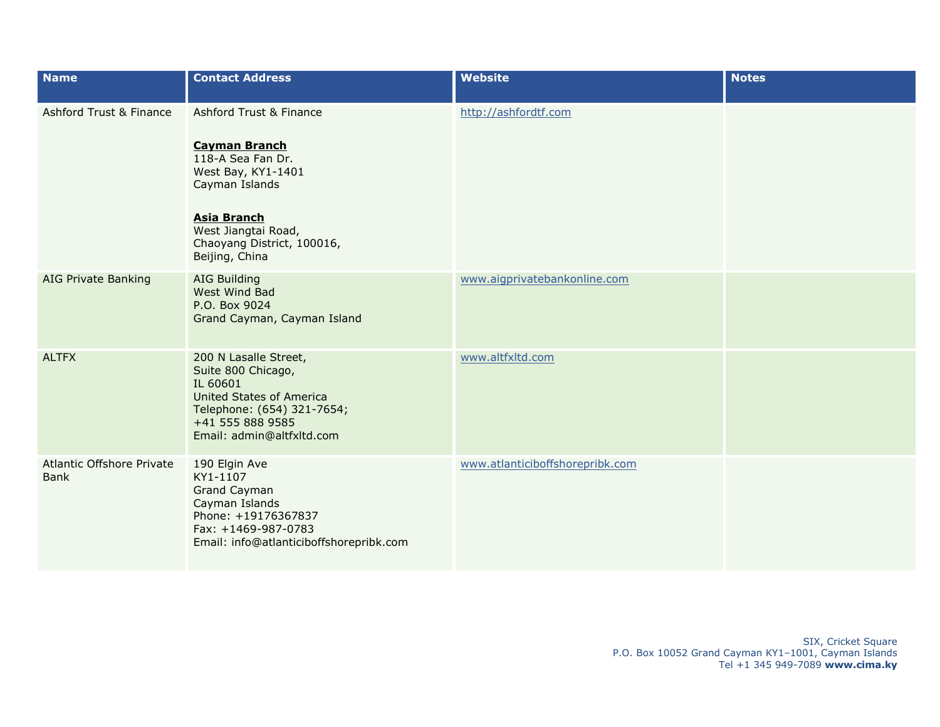| <b>Name</b>                       | <b>Contact Address</b>                                                                                                                                                                                    | <b>Website</b>                  | <b>Notes</b> |
|-----------------------------------|-----------------------------------------------------------------------------------------------------------------------------------------------------------------------------------------------------------|---------------------------------|--------------|
| Ashford Trust & Finance           | Ashford Trust & Finance<br><b>Cayman Branch</b><br>118-A Sea Fan Dr.<br>West Bay, KY1-1401<br>Cayman Islands<br><b>Asia Branch</b><br>West Jiangtai Road,<br>Chaoyang District, 100016,<br>Beijing, China | http://ashfordtf.com            |              |
| <b>AIG Private Banking</b>        | <b>AIG Building</b><br>West Wind Bad<br>P.O. Box 9024<br>Grand Cayman, Cayman Island                                                                                                                      | www.aigprivatebankonline.com    |              |
| <b>ALTFX</b>                      | 200 N Lasalle Street,<br>Suite 800 Chicago,<br>IL 60601<br><b>United States of America</b><br>Telephone: (654) 321-7654;<br>+41 555 888 9585<br>Email: admin@altfxltd.com                                 | www.altfxltd.com                |              |
| Atlantic Offshore Private<br>Bank | 190 Elgin Ave<br>KY1-1107<br><b>Grand Cayman</b><br>Cayman Islands<br>Phone: +19176367837<br>Fax: +1469-987-0783<br>Email: info@atlanticiboffshorepribk.com                                               | www.atlanticiboffshorepribk.com |              |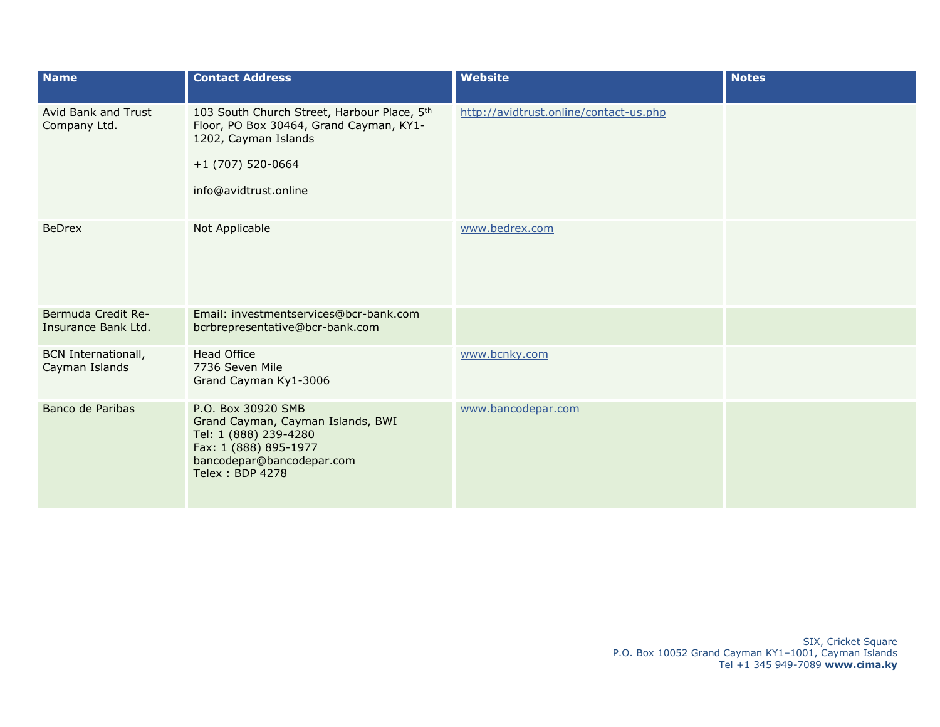| <b>Name</b>                                  | <b>Contact Address</b>                                                                                                                                           | <b>Website</b>                         | <b>Notes</b> |
|----------------------------------------------|------------------------------------------------------------------------------------------------------------------------------------------------------------------|----------------------------------------|--------------|
| Avid Bank and Trust<br>Company Ltd.          | 103 South Church Street, Harbour Place, 5th<br>Floor, PO Box 30464, Grand Cayman, KY1-<br>1202, Cayman Islands<br>$+1$ (707) 520-0664<br>info@avidtrust.online   | http://avidtrust.online/contact-us.php |              |
| <b>BeDrex</b>                                | Not Applicable                                                                                                                                                   | www.bedrex.com                         |              |
| Bermuda Credit Re-<br>Insurance Bank Ltd.    | Email: investmentservices@bcr-bank.com<br>bcrbrepresentative@bcr-bank.com                                                                                        |                                        |              |
| <b>BCN Internationall,</b><br>Cayman Islands | <b>Head Office</b><br>7736 Seven Mile<br>Grand Cayman Ky1-3006                                                                                                   | www.bcnky.com                          |              |
| Banco de Paribas                             | P.O. Box 30920 SMB<br>Grand Cayman, Cayman Islands, BWI<br>Tel: 1 (888) 239-4280<br>Fax: 1 (888) 895-1977<br>bancodepar@bancodepar.com<br><b>Telex: BDP 4278</b> | www.bancodepar.com                     |              |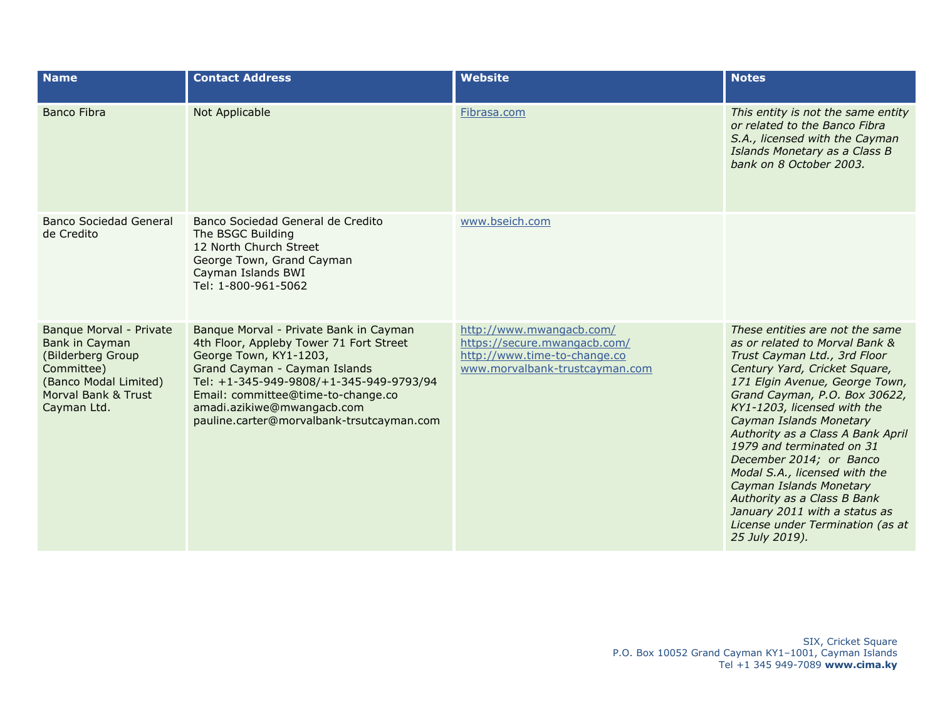| <b>Name</b>                                                                                                                                 | <b>Contact Address</b>                                                                                                                                                                                                                                                                                   | <b>Website</b>                                                                                                             | <b>Notes</b>                                                                                                                                                                                                                                                                                                                                                                                                                                                                                                                                   |
|---------------------------------------------------------------------------------------------------------------------------------------------|----------------------------------------------------------------------------------------------------------------------------------------------------------------------------------------------------------------------------------------------------------------------------------------------------------|----------------------------------------------------------------------------------------------------------------------------|------------------------------------------------------------------------------------------------------------------------------------------------------------------------------------------------------------------------------------------------------------------------------------------------------------------------------------------------------------------------------------------------------------------------------------------------------------------------------------------------------------------------------------------------|
| <b>Banco Fibra</b>                                                                                                                          | Not Applicable                                                                                                                                                                                                                                                                                           | Fibrasa.com                                                                                                                | This entity is not the same entity<br>or related to the Banco Fibra<br>S.A., licensed with the Cayman<br>Islands Monetary as a Class B<br>bank on 8 October 2003.                                                                                                                                                                                                                                                                                                                                                                              |
| <b>Banco Sociedad General</b><br>de Credito                                                                                                 | Banco Sociedad General de Credito<br>The BSGC Building<br>12 North Church Street<br>George Town, Grand Cayman<br>Cayman Islands BWI<br>Tel: 1-800-961-5062                                                                                                                                               | www.bseich.com                                                                                                             |                                                                                                                                                                                                                                                                                                                                                                                                                                                                                                                                                |
| Banque Morval - Private<br>Bank in Cayman<br>(Bilderberg Group<br>Committee)<br>(Banco Modal Limited)<br>Morval Bank & Trust<br>Cayman Ltd. | Banque Morval - Private Bank in Cayman<br>4th Floor, Appleby Tower 71 Fort Street<br>George Town, KY1-1203,<br>Grand Cayman - Cayman Islands<br>Tel: +1-345-949-9808/+1-345-949-9793/94<br>Email: committee@time-to-change.co<br>amadi.azikiwe@mwangacb.com<br>pauline.carter@morvalbank-trsutcayman.com | http://www.mwangacb.com/<br>https://secure.mwangacb.com/<br>http://www.time-to-change.co<br>www.morvalbank-trustcayman.com | These entities are not the same<br>as or related to Morval Bank &<br>Trust Cayman Ltd., 3rd Floor<br>Century Yard, Cricket Square,<br>171 Elgin Avenue, George Town,<br>Grand Cayman, P.O. Box 30622,<br>KY1-1203, licensed with the<br>Cayman Islands Monetary<br>Authority as a Class A Bank April<br>1979 and terminated on 31<br>December 2014; or Banco<br>Modal S.A., licensed with the<br>Cayman Islands Monetary<br>Authority as a Class B Bank<br>January 2011 with a status as<br>License under Termination (as at<br>25 July 2019). |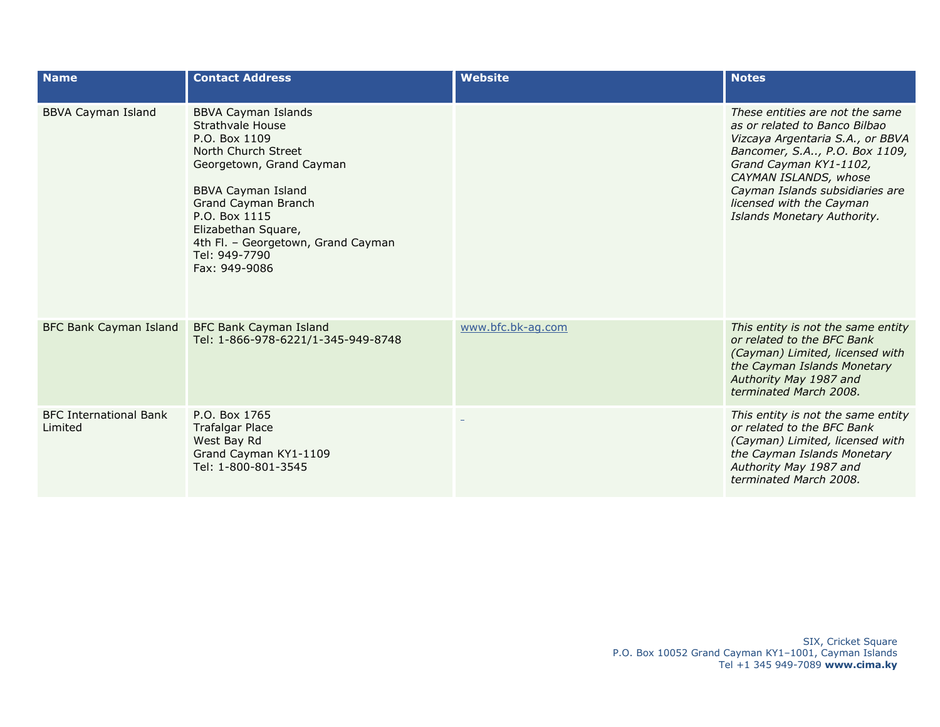| <b>Name</b>                              | <b>Contact Address</b>                                                                                                                                                                                                                                                                 | <b>Website</b>    | <b>Notes</b>                                                                                                                                                                                                                                                                           |
|------------------------------------------|----------------------------------------------------------------------------------------------------------------------------------------------------------------------------------------------------------------------------------------------------------------------------------------|-------------------|----------------------------------------------------------------------------------------------------------------------------------------------------------------------------------------------------------------------------------------------------------------------------------------|
| <b>BBVA Cayman Island</b>                | <b>BBVA Cayman Islands</b><br>Strathvale House<br>P.O. Box 1109<br>North Church Street<br>Georgetown, Grand Cayman<br><b>BBVA Cayman Island</b><br>Grand Cayman Branch<br>P.O. Box 1115<br>Elizabethan Square,<br>4th Fl. - Georgetown, Grand Cayman<br>Tel: 949-7790<br>Fax: 949-9086 |                   | These entities are not the same<br>as or related to Banco Bilbao<br>Vizcaya Argentaria S.A., or BBVA<br>Bancomer, S.A, P.O. Box 1109,<br>Grand Cayman KY1-1102,<br>CAYMAN ISLANDS, whose<br>Cayman Islands subsidiaries are<br>licensed with the Cayman<br>Islands Monetary Authority. |
| <b>BFC Bank Cayman Island</b>            | <b>BFC Bank Cayman Island</b><br>Tel: 1-866-978-6221/1-345-949-8748                                                                                                                                                                                                                    | www.bfc.bk-ag.com | This entity is not the same entity<br>or related to the BFC Bank<br>(Cayman) Limited, licensed with<br>the Cayman Islands Monetary<br>Authority May 1987 and<br>terminated March 2008.                                                                                                 |
| <b>BFC International Bank</b><br>Limited | P.O. Box 1765<br><b>Trafalgar Place</b><br>West Bay Rd<br>Grand Cayman KY1-1109<br>Tel: 1-800-801-3545                                                                                                                                                                                 |                   | This entity is not the same entity<br>or related to the BFC Bank<br>(Cayman) Limited, licensed with<br>the Cayman Islands Monetary<br>Authority May 1987 and<br>terminated March 2008.                                                                                                 |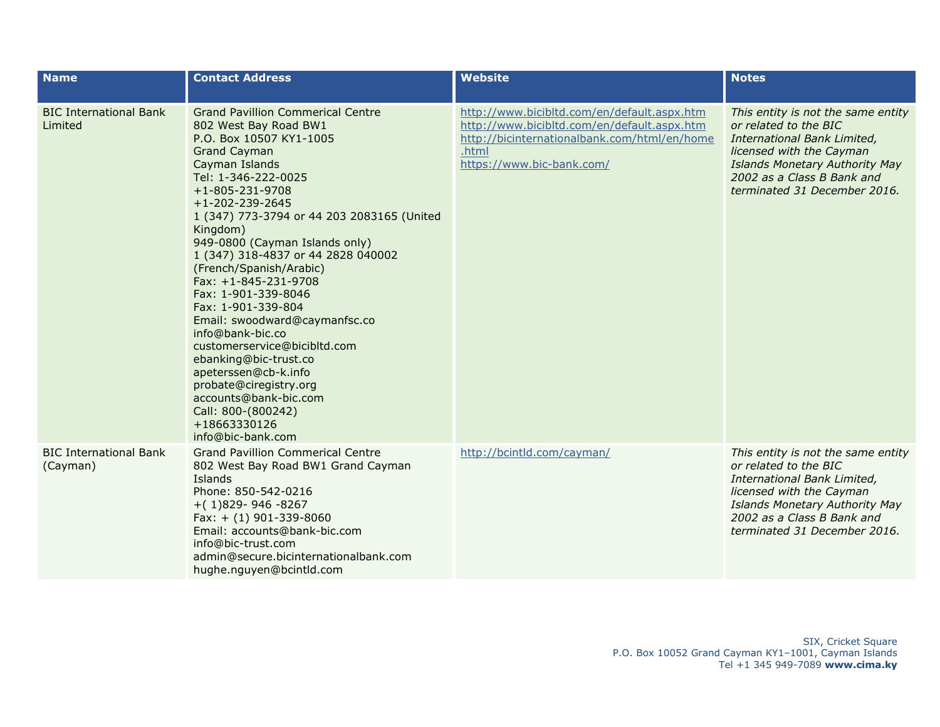| <b>Name</b>                               | <b>Contact Address</b>                                                                                                                                                                                                                                                                                                                                                                                                                                                                                                                                                                                                                                                                                     | <b>Website</b>                                                                                                                                                                   | <b>Notes</b>                                                                                                                                                                                                           |
|-------------------------------------------|------------------------------------------------------------------------------------------------------------------------------------------------------------------------------------------------------------------------------------------------------------------------------------------------------------------------------------------------------------------------------------------------------------------------------------------------------------------------------------------------------------------------------------------------------------------------------------------------------------------------------------------------------------------------------------------------------------|----------------------------------------------------------------------------------------------------------------------------------------------------------------------------------|------------------------------------------------------------------------------------------------------------------------------------------------------------------------------------------------------------------------|
| <b>BIC International Bank</b><br>Limited  | <b>Grand Pavillion Commerical Centre</b><br>802 West Bay Road BW1<br>P.O. Box 10507 KY1-1005<br><b>Grand Cayman</b><br>Cayman Islands<br>Tel: 1-346-222-0025<br>$+1 - 805 - 231 - 9708$<br>$+1 - 202 - 239 - 2645$<br>1 (347) 773-3794 or 44 203 2083165 (United<br>Kingdom)<br>949-0800 (Cayman Islands only)<br>1 (347) 318-4837 or 44 2828 040002<br>(French/Spanish/Arabic)<br>Fax: $+1-845-231-9708$<br>Fax: 1-901-339-8046<br>Fax: 1-901-339-804<br>Email: swoodward@caymanfsc.co<br>info@bank-bic.co<br>customerservice@bicibltd.com<br>ebanking@bic-trust.co<br>apeterssen@cb-k.info<br>probate@ciregistry.org<br>accounts@bank-bic.com<br>Call: 800-(800242)<br>+18663330126<br>info@bic-bank.com | http://www.bicibltd.com/en/default.aspx.htm<br>http://www.bicibltd.com/en/default.aspx.htm<br>http://bicinternationalbank.com/html/en/home<br>.html<br>https://www.bic-bank.com/ | This entity is not the same entity<br>or related to the BIC<br>International Bank Limited,<br>licensed with the Cayman<br>Islands Monetary Authority May<br>2002 as a Class B Bank and<br>terminated 31 December 2016. |
| <b>BIC International Bank</b><br>(Cayman) | <b>Grand Pavillion Commerical Centre</b><br>802 West Bay Road BW1 Grand Cayman<br>Islands<br>Phone: 850-542-0216<br>$+(1)829 - 946 - 8267$<br>Fax: $+$ (1) 901-339-8060<br>Email: accounts@bank-bic.com<br>info@bic-trust.com<br>admin@secure.bicinternationalbank.com<br>hughe.nguyen@bcintld.com                                                                                                                                                                                                                                                                                                                                                                                                         | http://bcintld.com/cayman/                                                                                                                                                       | This entity is not the same entity<br>or related to the BIC<br>International Bank Limited,<br>licensed with the Cayman<br>Islands Monetary Authority May<br>2002 as a Class B Bank and<br>terminated 31 December 2016. |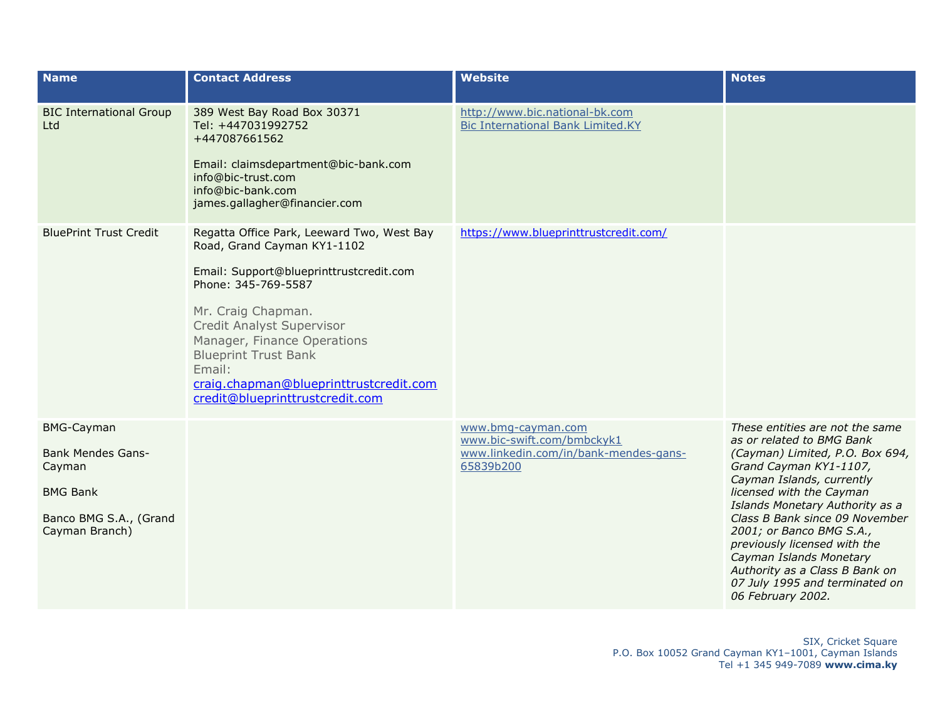| <b>Name</b>                                                                                                            | <b>Contact Address</b>                                                                                                                                                                                                                                                                                                                              | <b>Website</b>                                                                                         | <b>Notes</b>                                                                                                                                                                                                                                                                                                                                                                                                                            |
|------------------------------------------------------------------------------------------------------------------------|-----------------------------------------------------------------------------------------------------------------------------------------------------------------------------------------------------------------------------------------------------------------------------------------------------------------------------------------------------|--------------------------------------------------------------------------------------------------------|-----------------------------------------------------------------------------------------------------------------------------------------------------------------------------------------------------------------------------------------------------------------------------------------------------------------------------------------------------------------------------------------------------------------------------------------|
| <b>BIC International Group</b><br>Ltd                                                                                  | 389 West Bay Road Box 30371<br>Tel: +447031992752<br>+447087661562<br>Email: claimsdepartment@bic-bank.com<br>info@bic-trust.com<br>info@bic-bank.com<br>james.gallagher@financier.com                                                                                                                                                              | http://www.bic.national-bk.com<br><b>Bic International Bank Limited.KY</b>                             |                                                                                                                                                                                                                                                                                                                                                                                                                                         |
| <b>BluePrint Trust Credit</b>                                                                                          | Regatta Office Park, Leeward Two, West Bay<br>Road, Grand Cayman KY1-1102<br>Email: Support@blueprinttrustcredit.com<br>Phone: 345-769-5587<br>Mr. Craig Chapman.<br>Credit Analyst Supervisor<br>Manager, Finance Operations<br><b>Blueprint Trust Bank</b><br>Email:<br>craig.chapman@blueprinttrustcredit.com<br>credit@blueprinttrustcredit.com | https://www.blueprinttrustcredit.com/                                                                  |                                                                                                                                                                                                                                                                                                                                                                                                                                         |
| <b>BMG-Cayman</b><br><b>Bank Mendes Gans-</b><br>Cayman<br><b>BMG Bank</b><br>Banco BMG S.A., (Grand<br>Cayman Branch) |                                                                                                                                                                                                                                                                                                                                                     | www.bmg-cayman.com<br>www.bic-swift.com/bmbckyk1<br>www.linkedin.com/in/bank-mendes-gans-<br>65839b200 | These entities are not the same<br>as or related to BMG Bank<br>(Cayman) Limited, P.O. Box 694,<br>Grand Cayman KY1-1107,<br>Cayman Islands, currently<br>licensed with the Cayman<br>Islands Monetary Authority as a<br>Class B Bank since 09 November<br>2001; or Banco BMG S.A.,<br>previously licensed with the<br>Cayman Islands Monetary<br>Authority as a Class B Bank on<br>07 July 1995 and terminated on<br>06 February 2002. |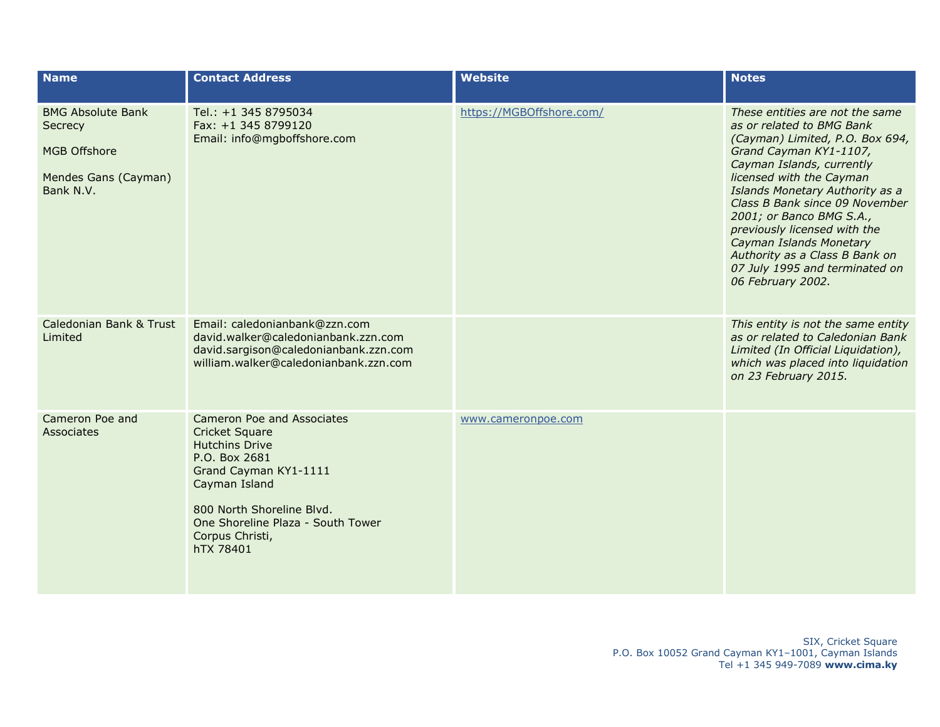| <b>Name</b>                                                                                     | <b>Contact Address</b>                                                                                                                                                                                                                    | <b>Website</b>           | <b>Notes</b>                                                                                                                                                                                                                                                                                                                                                                                                                            |
|-------------------------------------------------------------------------------------------------|-------------------------------------------------------------------------------------------------------------------------------------------------------------------------------------------------------------------------------------------|--------------------------|-----------------------------------------------------------------------------------------------------------------------------------------------------------------------------------------------------------------------------------------------------------------------------------------------------------------------------------------------------------------------------------------------------------------------------------------|
| <b>BMG Absolute Bank</b><br>Secrecy<br><b>MGB Offshore</b><br>Mendes Gans (Cayman)<br>Bank N.V. | Tel.: +1 345 8795034<br>Fax: +1 345 8799120<br>Email: info@mgboffshore.com                                                                                                                                                                | https://MGBOffshore.com/ | These entities are not the same<br>as or related to BMG Bank<br>(Cayman) Limited, P.O. Box 694,<br>Grand Cayman KY1-1107,<br>Cayman Islands, currently<br>licensed with the Cayman<br>Islands Monetary Authority as a<br>Class B Bank since 09 November<br>2001; or Banco BMG S.A.,<br>previously licensed with the<br>Cayman Islands Monetary<br>Authority as a Class B Bank on<br>07 July 1995 and terminated on<br>06 February 2002. |
| Caledonian Bank & Trust<br>Limited                                                              | Email: caledonianbank@zzn.com<br>david.walker@caledonianbank.zzn.com<br>david.sargison@caledonianbank.zzn.com<br>william.walker@caledonianbank.zzn.com                                                                                    |                          | This entity is not the same entity<br>as or related to Caledonian Bank<br>Limited (In Official Liquidation),<br>which was placed into liquidation<br>on 23 February 2015.                                                                                                                                                                                                                                                               |
| Cameron Poe and<br>Associates                                                                   | Cameron Poe and Associates<br><b>Cricket Square</b><br><b>Hutchins Drive</b><br>P.O. Box 2681<br>Grand Cayman KY1-1111<br>Cayman Island<br>800 North Shoreline Blvd.<br>One Shoreline Plaza - South Tower<br>Corpus Christi,<br>hTX 78401 | www.cameronpoe.com       |                                                                                                                                                                                                                                                                                                                                                                                                                                         |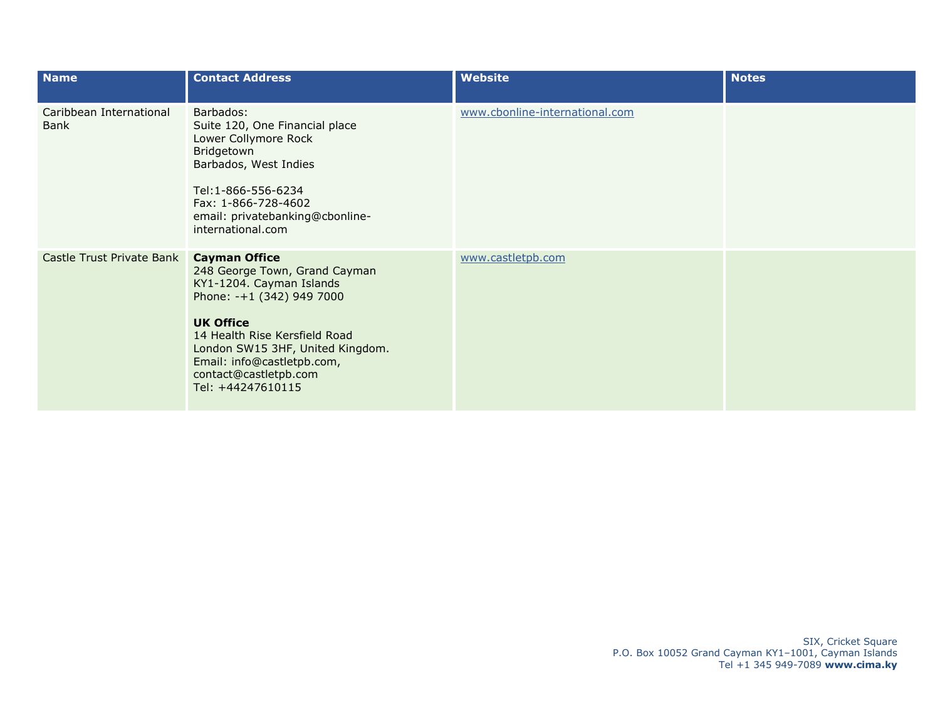| <b>Name</b>                     | <b>Contact Address</b>                                                                                                                                                                                                                                                              | <b>Website</b>                 | <b>Notes</b> |
|---------------------------------|-------------------------------------------------------------------------------------------------------------------------------------------------------------------------------------------------------------------------------------------------------------------------------------|--------------------------------|--------------|
| Caribbean International<br>Bank | Barbados:<br>Suite 120, One Financial place<br>Lower Collymore Rock<br>Bridgetown<br>Barbados, West Indies<br>Tel:1-866-556-6234<br>Fax: 1-866-728-4602<br>email: privatebanking@cbonline-<br>international.com                                                                     | www.cbonline-international.com |              |
| Castle Trust Private Bank       | <b>Cayman Office</b><br>248 George Town, Grand Cayman<br>KY1-1204. Cayman Islands<br>Phone: -+1 (342) 949 7000<br><b>UK Office</b><br>14 Health Rise Kersfield Road<br>London SW15 3HF, United Kingdom.<br>Email: info@castletpb.com,<br>contact@castletpb.com<br>Tel: +44247610115 | www.castletpb.com              |              |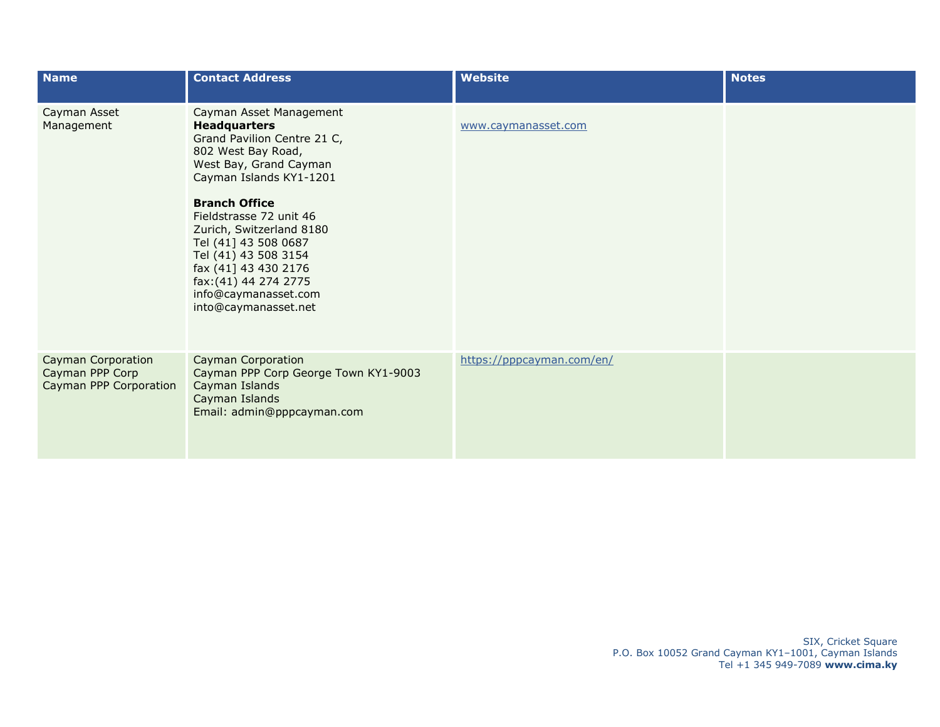| <b>Name</b>                                                     | <b>Contact Address</b>                                                                                                                                                                                                                                                                                                                                                                   | <b>Website</b>            | <b>Notes</b> |
|-----------------------------------------------------------------|------------------------------------------------------------------------------------------------------------------------------------------------------------------------------------------------------------------------------------------------------------------------------------------------------------------------------------------------------------------------------------------|---------------------------|--------------|
| Cayman Asset<br>Management                                      | Cayman Asset Management<br><b>Headquarters</b><br>Grand Pavilion Centre 21 C,<br>802 West Bay Road,<br>West Bay, Grand Cayman<br>Cayman Islands KY1-1201<br><b>Branch Office</b><br>Fieldstrasse 72 unit 46<br>Zurich, Switzerland 8180<br>Tel (41] 43 508 0687<br>Tel (41) 43 508 3154<br>fax (41] 43 430 2176<br>fax: (41) 44 274 2775<br>info@caymanasset.com<br>into@caymanasset.net | www.caymanasset.com       |              |
| Cayman Corporation<br>Cayman PPP Corp<br>Cayman PPP Corporation | <b>Cayman Corporation</b><br>Cayman PPP Corp George Town KY1-9003<br>Cayman Islands<br>Cayman Islands<br>Email: admin@pppcayman.com                                                                                                                                                                                                                                                      | https://pppcayman.com/en/ |              |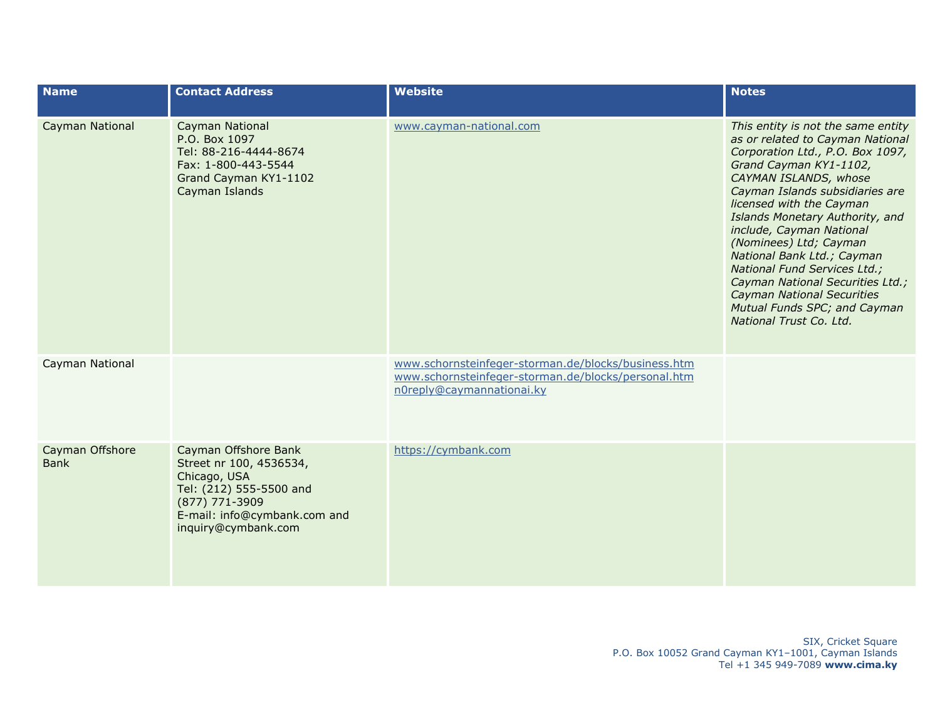| <b>Name</b>                    | <b>Contact Address</b>                                                                                                                                              | <b>Website</b>                                                                                                                          | <b>Notes</b>                                                                                                                                                                                                                                                                                                                                                                                                                                                                                                            |
|--------------------------------|---------------------------------------------------------------------------------------------------------------------------------------------------------------------|-----------------------------------------------------------------------------------------------------------------------------------------|-------------------------------------------------------------------------------------------------------------------------------------------------------------------------------------------------------------------------------------------------------------------------------------------------------------------------------------------------------------------------------------------------------------------------------------------------------------------------------------------------------------------------|
| Cayman National                | Cayman National<br>P.O. Box 1097<br>Tel: 88-216-4444-8674<br>Fax: 1-800-443-5544<br>Grand Cayman KY1-1102<br>Cayman Islands                                         | www.cayman-national.com                                                                                                                 | This entity is not the same entity<br>as or related to Cayman National<br>Corporation Ltd., P.O. Box 1097,<br>Grand Cayman KY1-1102,<br>CAYMAN ISLANDS, whose<br>Cayman Islands subsidiaries are<br>licensed with the Cayman<br>Islands Monetary Authority, and<br>include, Cayman National<br>(Nominees) Ltd; Cayman<br>National Bank Ltd.; Cayman<br>National Fund Services Ltd.;<br>Cayman National Securities Ltd.;<br><b>Cayman National Securities</b><br>Mutual Funds SPC; and Cayman<br>National Trust Co. Ltd. |
| Cayman National                |                                                                                                                                                                     | www.schornsteinfeger-storman.de/blocks/business.htm<br>www.schornsteinfeger-storman.de/blocks/personal.htm<br>n0reply@caymannationai.ky |                                                                                                                                                                                                                                                                                                                                                                                                                                                                                                                         |
| Cayman Offshore<br><b>Bank</b> | Cayman Offshore Bank<br>Street nr 100, 4536534,<br>Chicago, USA<br>Tel: (212) 555-5500 and<br>(877) 771-3909<br>E-mail: info@cymbank.com and<br>inquiry@cymbank.com | https://cymbank.com                                                                                                                     |                                                                                                                                                                                                                                                                                                                                                                                                                                                                                                                         |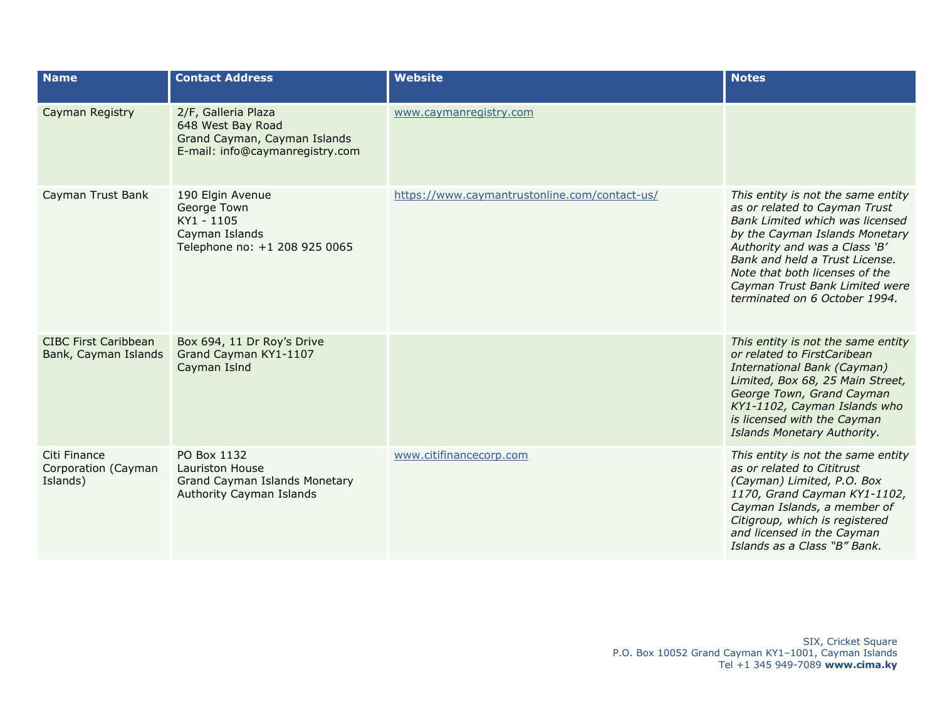| <b>Name</b>                                         | <b>Contact Address</b>                                                                                      | <b>Website</b>                                | <b>Notes</b>                                                                                                                                                                                                                                                                                                     |
|-----------------------------------------------------|-------------------------------------------------------------------------------------------------------------|-----------------------------------------------|------------------------------------------------------------------------------------------------------------------------------------------------------------------------------------------------------------------------------------------------------------------------------------------------------------------|
| Cayman Registry                                     | 2/F, Galleria Plaza<br>648 West Bay Road<br>Grand Cayman, Cayman Islands<br>E-mail: info@caymanregistry.com | www.caymanregistry.com                        |                                                                                                                                                                                                                                                                                                                  |
| Cayman Trust Bank                                   | 190 Elgin Avenue<br>George Town<br>KY1 - 1105<br>Cayman Islands<br>Telephone no: +1 208 925 0065            | https://www.caymantrustonline.com/contact-us/ | This entity is not the same entity<br>as or related to Cayman Trust<br>Bank Limited which was licensed<br>by the Cayman Islands Monetary<br>Authority and was a Class 'B'<br>Bank and held a Trust License.<br>Note that both licenses of the<br>Cayman Trust Bank Limited were<br>terminated on 6 October 1994. |
| <b>CIBC First Caribbean</b><br>Bank, Cayman Islands | Box 694, 11 Dr Roy's Drive<br>Grand Cayman KY1-1107<br>Cayman Islnd                                         |                                               | This entity is not the same entity<br>or related to FirstCaribean<br>International Bank (Cayman)<br>Limited, Box 68, 25 Main Street,<br>George Town, Grand Cayman<br>KY1-1102, Cayman Islands who<br>is licensed with the Cayman<br>Islands Monetary Authority.                                                  |
| Citi Finance<br>Corporation (Cayman<br>Islands)     | PO Box 1132<br>Lauriston House<br>Grand Cayman Islands Monetary<br>Authority Cayman Islands                 | www.citifinancecorp.com                       | This entity is not the same entity<br>as or related to Cititrust<br>(Cayman) Limited, P.O. Box<br>1170, Grand Cayman KY1-1102,<br>Cayman Islands, a member of<br>Citigroup, which is registered<br>and licensed in the Cayman<br>Islands as a Class "B" Bank.                                                    |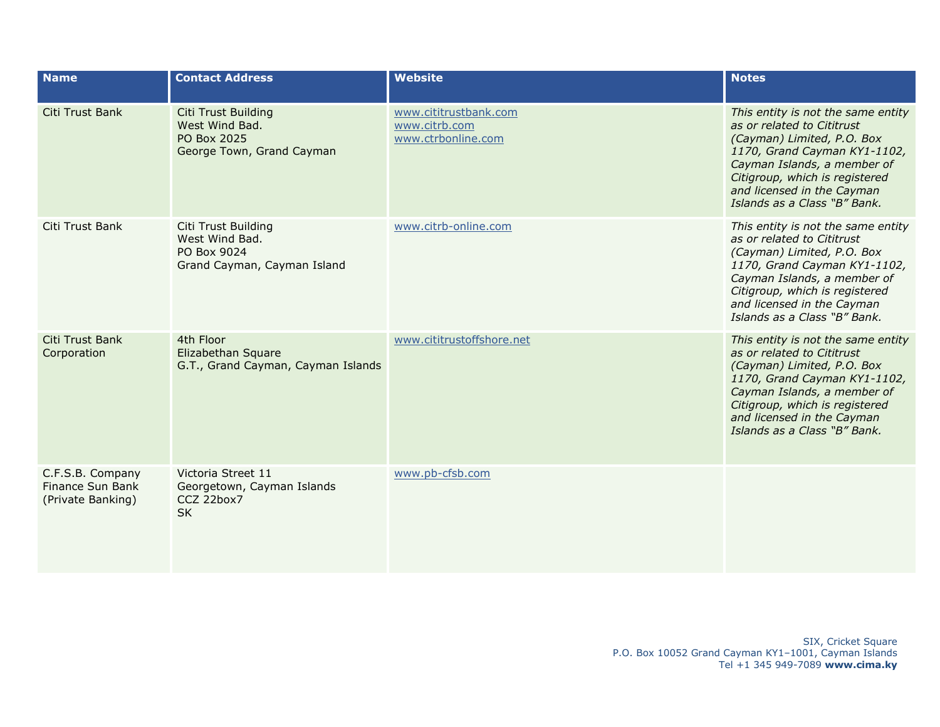| <b>Name</b>                                               | <b>Contact Address</b>                                                                   | <b>Website</b>                                               | <b>Notes</b>                                                                                                                                                                                                                                                  |
|-----------------------------------------------------------|------------------------------------------------------------------------------------------|--------------------------------------------------------------|---------------------------------------------------------------------------------------------------------------------------------------------------------------------------------------------------------------------------------------------------------------|
| Citi Trust Bank                                           | <b>Citi Trust Building</b><br>West Wind Bad.<br>PO Box 2025<br>George Town, Grand Cayman | www.cititrustbank.com<br>www.citrb.com<br>www.ctrbonline.com | This entity is not the same entity<br>as or related to Cititrust<br>(Cayman) Limited, P.O. Box<br>1170, Grand Cayman KY1-1102,<br>Cayman Islands, a member of<br>Citigroup, which is registered<br>and licensed in the Cayman<br>Islands as a Class "B" Bank. |
| Citi Trust Bank                                           | Citi Trust Building<br>West Wind Bad.<br>PO Box 9024<br>Grand Cayman, Cayman Island      | www.citrb-online.com                                         | This entity is not the same entity<br>as or related to Cititrust<br>(Cayman) Limited, P.O. Box<br>1170, Grand Cayman KY1-1102,<br>Cayman Islands, a member of<br>Citigroup, which is registered<br>and licensed in the Cayman<br>Islands as a Class "B" Bank. |
| Citi Trust Bank<br>Corporation                            | 4th Floor<br>Elizabethan Square<br>G.T., Grand Cayman, Cayman Islands                    | www.cititrustoffshore.net                                    | This entity is not the same entity<br>as or related to Cititrust<br>(Cayman) Limited, P.O. Box<br>1170, Grand Cayman KY1-1102,<br>Cayman Islands, a member of<br>Citigroup, which is registered<br>and licensed in the Cayman<br>Islands as a Class "B" Bank. |
| C.F.S.B. Company<br>Finance Sun Bank<br>(Private Banking) | Victoria Street 11<br>Georgetown, Cayman Islands<br>CCZ 22box7<br><b>SK</b>              | www.pb-cfsb.com                                              |                                                                                                                                                                                                                                                               |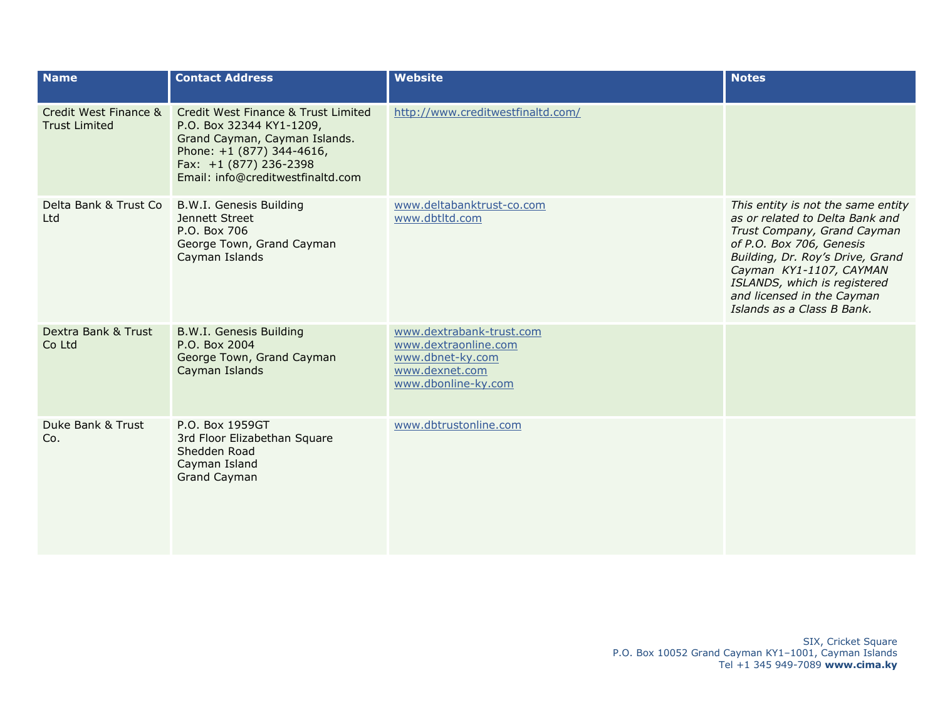| <b>Name</b>                                   | <b>Contact Address</b>                                                                                                                                                                       | <b>Website</b>                                                                                                | <b>Notes</b>                                                                                                                                                                                                                                                                                |
|-----------------------------------------------|----------------------------------------------------------------------------------------------------------------------------------------------------------------------------------------------|---------------------------------------------------------------------------------------------------------------|---------------------------------------------------------------------------------------------------------------------------------------------------------------------------------------------------------------------------------------------------------------------------------------------|
| Credit West Finance &<br><b>Trust Limited</b> | Credit West Finance & Trust Limited<br>P.O. Box 32344 KY1-1209,<br>Grand Cayman, Cayman Islands.<br>Phone: +1 (877) 344-4616,<br>Fax: +1 (877) 236-2398<br>Email: info@creditwestfinaltd.com | http://www.creditwestfinaltd.com/                                                                             |                                                                                                                                                                                                                                                                                             |
| Delta Bank & Trust Co<br>Ltd                  | B.W.I. Genesis Building<br>Jennett Street<br>P.O. Box 706<br>George Town, Grand Cayman<br>Cayman Islands                                                                                     | www.deltabanktrust-co.com<br>www.dbtltd.com                                                                   | This entity is not the same entity<br>as or related to Delta Bank and<br>Trust Company, Grand Cayman<br>of P.O. Box 706, Genesis<br>Building, Dr. Roy's Drive, Grand<br>Cayman KY1-1107, CAYMAN<br>ISLANDS, which is registered<br>and licensed in the Cayman<br>Islands as a Class B Bank. |
| Dextra Bank & Trust<br>Co Ltd                 | <b>B.W.I. Genesis Building</b><br>P.O. Box 2004<br>George Town, Grand Cayman<br>Cayman Islands                                                                                               | www.dextrabank-trust.com<br>www.dextraonline.com<br>www.dbnet-ky.com<br>www.dexnet.com<br>www.dbonline-ky.com |                                                                                                                                                                                                                                                                                             |
| Duke Bank & Trust<br>Co.                      | P.O. Box 1959GT<br>3rd Floor Elizabethan Square<br>Shedden Road<br>Cayman Island<br><b>Grand Cayman</b>                                                                                      | www.dbtrustonline.com                                                                                         |                                                                                                                                                                                                                                                                                             |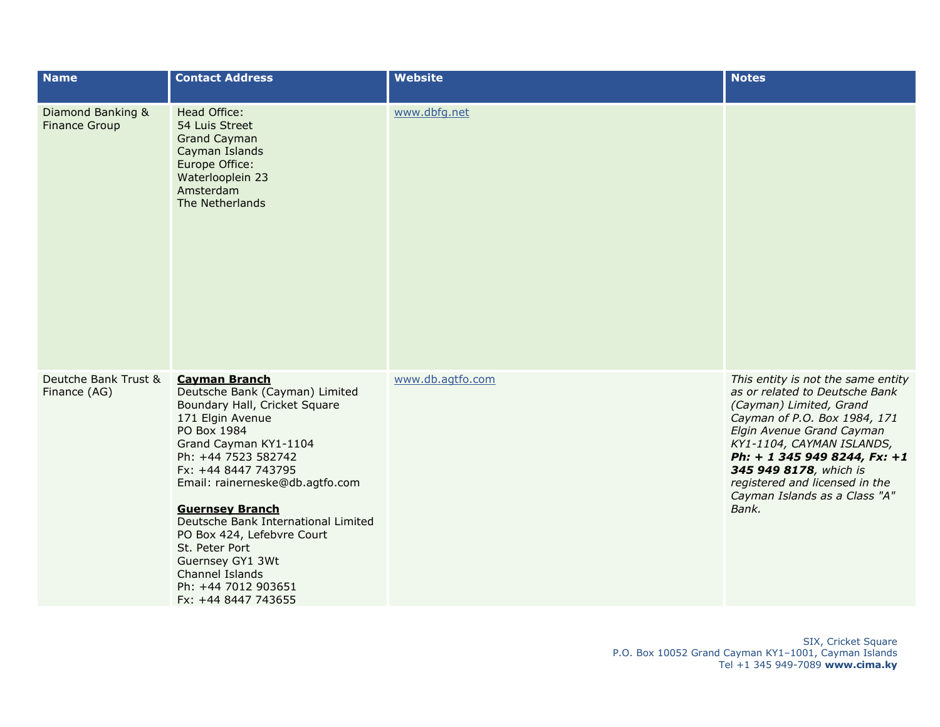| <b>Name</b>                               | <b>Contact Address</b>                                                                                                                                                                                                                                                                                                                                                                                                                     | <b>Website</b>   | <b>Notes</b>                                                                                                                                                                                                                                                                                                                    |
|-------------------------------------------|--------------------------------------------------------------------------------------------------------------------------------------------------------------------------------------------------------------------------------------------------------------------------------------------------------------------------------------------------------------------------------------------------------------------------------------------|------------------|---------------------------------------------------------------------------------------------------------------------------------------------------------------------------------------------------------------------------------------------------------------------------------------------------------------------------------|
| Diamond Banking &<br><b>Finance Group</b> | Head Office:<br>54 Luis Street<br><b>Grand Cayman</b><br>Cayman Islands<br>Europe Office:<br>Waterlooplein 23<br>Amsterdam<br>The Netherlands                                                                                                                                                                                                                                                                                              | www.dbfg.net     |                                                                                                                                                                                                                                                                                                                                 |
| Deutche Bank Trust &<br>Finance (AG)      | <b>Cayman Branch</b><br>Deutsche Bank (Cayman) Limited<br>Boundary Hall, Cricket Square<br>171 Elgin Avenue<br>PO Box 1984<br>Grand Cayman KY1-1104<br>Ph: +44 7523 582742<br>Fx: +44 8447 743795<br>Email: rainerneske@db.agtfo.com<br><b>Guernsey Branch</b><br>Deutsche Bank International Limited<br>PO Box 424, Lefebvre Court<br>St. Peter Port<br>Guernsey GY1 3Wt<br>Channel Islands<br>Ph: +44 7012 903651<br>Fx: +44 8447 743655 | www.db.agtfo.com | This entity is not the same entity<br>as or related to Deutsche Bank<br>(Cayman) Limited, Grand<br>Cayman of P.O. Box 1984, 171<br>Elgin Avenue Grand Cayman<br>KY1-1104, CAYMAN ISLANDS,<br>Ph: + 1 345 949 8244, Fx: +1<br>345 949 8178, which is<br>registered and licensed in the<br>Cayman Islands as a Class "A"<br>Bank. |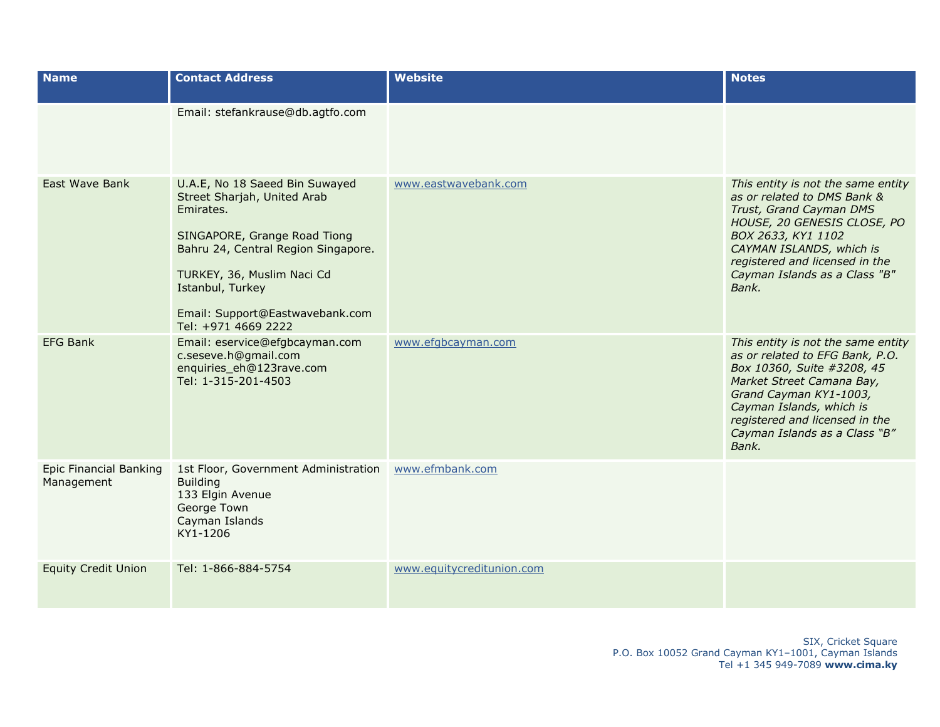| <b>Name</b>                                 | <b>Contact Address</b>                                                                                                                                                                                                                                        | <b>Website</b>            | <b>Notes</b>                                                                                                                                                                                                                                                       |
|---------------------------------------------|---------------------------------------------------------------------------------------------------------------------------------------------------------------------------------------------------------------------------------------------------------------|---------------------------|--------------------------------------------------------------------------------------------------------------------------------------------------------------------------------------------------------------------------------------------------------------------|
|                                             | Email: stefankrause@db.agtfo.com                                                                                                                                                                                                                              |                           |                                                                                                                                                                                                                                                                    |
| East Wave Bank                              | U.A.E, No 18 Saeed Bin Suwayed<br>Street Sharjah, United Arab<br>Emirates.<br>SINGAPORE, Grange Road Tiong<br>Bahru 24, Central Region Singapore.<br>TURKEY, 36, Muslim Naci Cd<br>Istanbul, Turkey<br>Email: Support@Eastwavebank.com<br>Tel: +971 4669 2222 | www.eastwavebank.com      | This entity is not the same entity<br>as or related to DMS Bank &<br>Trust, Grand Cayman DMS<br>HOUSE, 20 GENESIS CLOSE, PO<br>BOX 2633, KY1 1102<br>CAYMAN ISLANDS, which is<br>registered and licensed in the<br>Cayman Islands as a Class "B"<br>Bank.          |
| <b>EFG Bank</b>                             | Email: eservice@efgbcayman.com<br>c.seseve.h@gmail.com<br>enquiries_eh@123rave.com<br>Tel: 1-315-201-4503                                                                                                                                                     | www.efgbcayman.com        | This entity is not the same entity<br>as or related to EFG Bank, P.O.<br>Box 10360, Suite #3208, 45<br>Market Street Camana Bay,<br>Grand Cayman KY1-1003,<br>Cayman Islands, which is<br>registered and licensed in the<br>Cayman Islands as a Class "B"<br>Bank. |
| <b>Epic Financial Banking</b><br>Management | 1st Floor, Government Administration<br><b>Building</b><br>133 Elgin Avenue<br>George Town<br>Cayman Islands<br>KY1-1206                                                                                                                                      | www.efmbank.com           |                                                                                                                                                                                                                                                                    |
| <b>Equity Credit Union</b>                  | Tel: 1-866-884-5754                                                                                                                                                                                                                                           | www.equitycreditunion.com |                                                                                                                                                                                                                                                                    |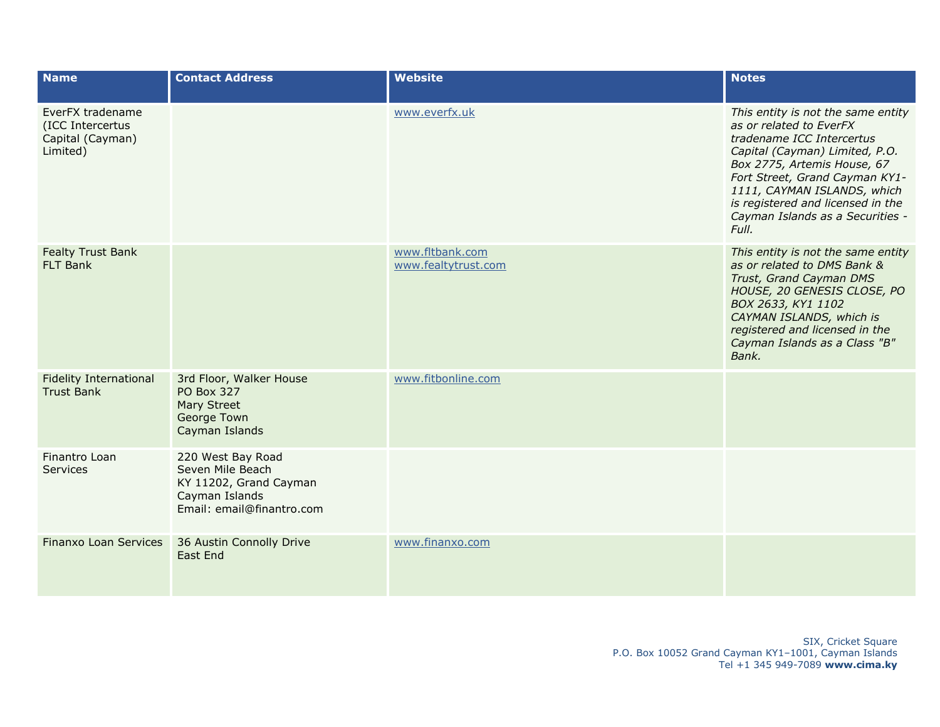| <b>Name</b>                                                          | <b>Contact Address</b>                                                                                         | <b>Website</b>                         | <b>Notes</b>                                                                                                                                                                                                                                                                                                   |
|----------------------------------------------------------------------|----------------------------------------------------------------------------------------------------------------|----------------------------------------|----------------------------------------------------------------------------------------------------------------------------------------------------------------------------------------------------------------------------------------------------------------------------------------------------------------|
| EverFX tradename<br>(ICC Intercertus<br>Capital (Cayman)<br>Limited) |                                                                                                                | www.everfx.uk                          | This entity is not the same entity<br>as or related to EverFX<br>tradename ICC Intercertus<br>Capital (Cayman) Limited, P.O.<br>Box 2775, Artemis House, 67<br>Fort Street, Grand Cayman KY1-<br>1111, CAYMAN ISLANDS, which<br>is registered and licensed in the<br>Cayman Islands as a Securities -<br>Full. |
| <b>Fealty Trust Bank</b><br><b>FLT Bank</b>                          |                                                                                                                | www.fltbank.com<br>www.fealtytrust.com | This entity is not the same entity<br>as or related to DMS Bank &<br>Trust, Grand Cayman DMS<br>HOUSE, 20 GENESIS CLOSE, PO<br>BOX 2633, KY1 1102<br>CAYMAN ISLANDS, which is<br>registered and licensed in the<br>Cayman Islands as a Class "B"<br>Bank.                                                      |
| <b>Fidelity International</b><br><b>Trust Bank</b>                   | 3rd Floor, Walker House<br><b>PO Box 327</b><br>Mary Street<br>George Town<br>Cayman Islands                   | www.fitbonline.com                     |                                                                                                                                                                                                                                                                                                                |
| Finantro Loan<br><b>Services</b>                                     | 220 West Bay Road<br>Seven Mile Beach<br>KY 11202, Grand Cayman<br>Cayman Islands<br>Email: email@finantro.com |                                        |                                                                                                                                                                                                                                                                                                                |
| Finanxo Loan Services                                                | 36 Austin Connolly Drive<br>East End                                                                           | www.finanxo.com                        |                                                                                                                                                                                                                                                                                                                |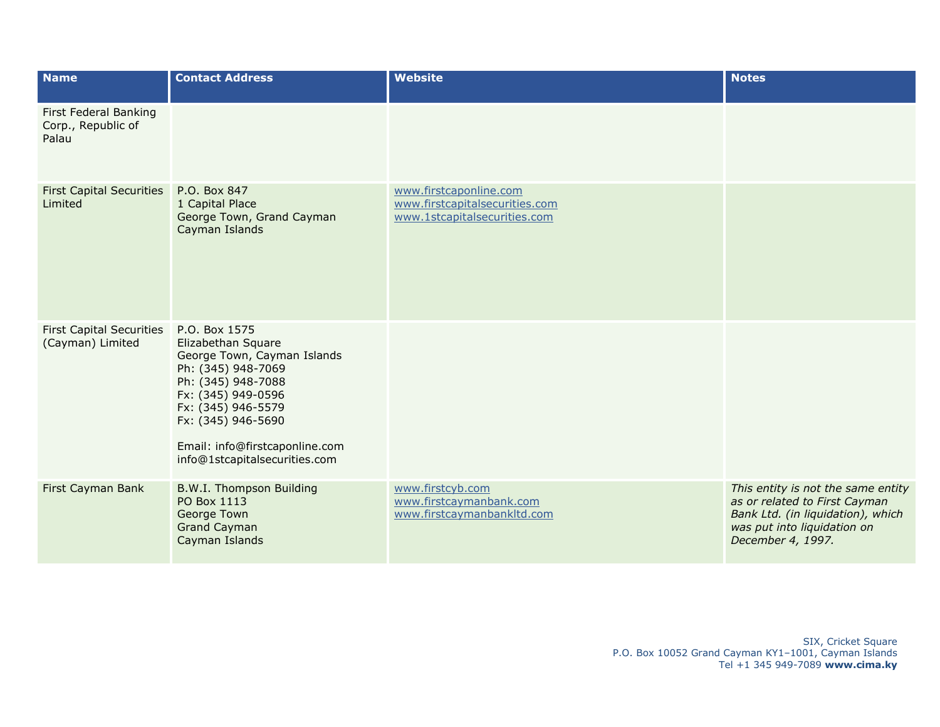| <b>Name</b>                                          | <b>Contact Address</b>                                                                                                                                                                                                                              | <b>Website</b>                                                                           | <b>Notes</b>                                                                                                                                                 |
|------------------------------------------------------|-----------------------------------------------------------------------------------------------------------------------------------------------------------------------------------------------------------------------------------------------------|------------------------------------------------------------------------------------------|--------------------------------------------------------------------------------------------------------------------------------------------------------------|
| First Federal Banking<br>Corp., Republic of<br>Palau |                                                                                                                                                                                                                                                     |                                                                                          |                                                                                                                                                              |
| <b>First Capital Securities</b><br>Limited           | P.O. Box 847<br>1 Capital Place<br>George Town, Grand Cayman<br>Cayman Islands                                                                                                                                                                      | www.firstcaponline.com<br>www.firstcapitalsecurities.com<br>www.1stcapitalsecurities.com |                                                                                                                                                              |
| <b>First Capital Securities</b><br>(Cayman) Limited  | P.O. Box 1575<br>Elizabethan Square<br>George Town, Cayman Islands<br>Ph: (345) 948-7069<br>Ph: (345) 948-7088<br>Fx: (345) 949-0596<br>Fx: (345) 946-5579<br>Fx: (345) 946-5690<br>Email: info@firstcaponline.com<br>info@1stcapitalsecurities.com |                                                                                          |                                                                                                                                                              |
| First Cayman Bank                                    | B.W.I. Thompson Building<br>PO Box 1113<br>George Town<br><b>Grand Cayman</b><br>Cayman Islands                                                                                                                                                     | www.firstcyb.com<br>www.firstcaymanbank.com<br>www.firstcaymanbankltd.com                | This entity is not the same entity<br>as or related to First Cayman<br>Bank Ltd. (in liquidation), which<br>was put into liquidation on<br>December 4, 1997. |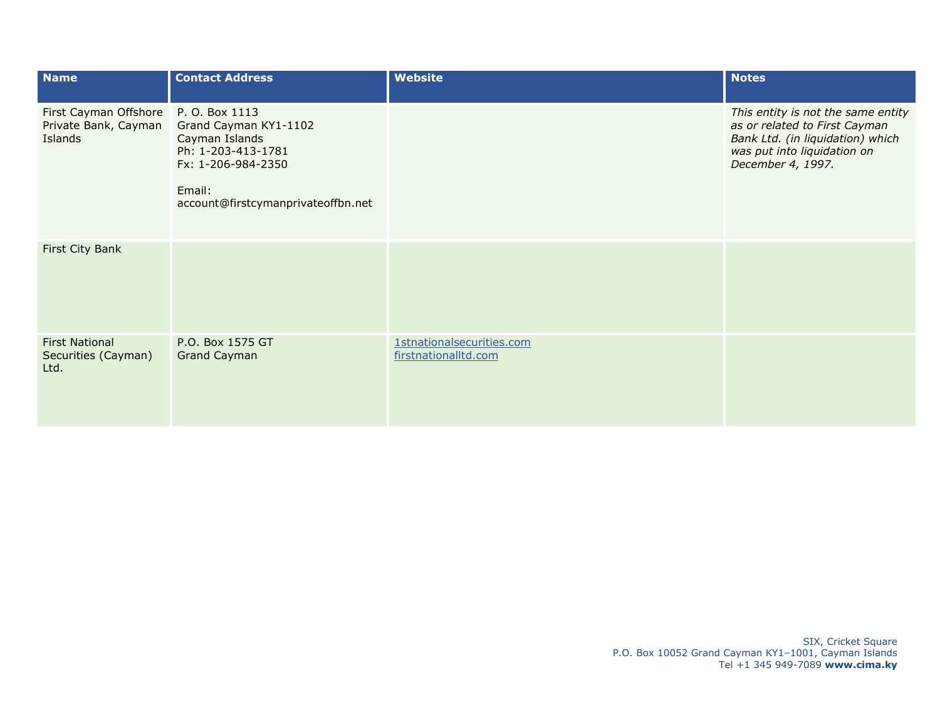| <b>Name</b>                                              | <b>Contact Address</b>                                                                                                                                | <b>Website</b>                                    | <b>Notes</b>                                                                                                                                                |
|----------------------------------------------------------|-------------------------------------------------------------------------------------------------------------------------------------------------------|---------------------------------------------------|-------------------------------------------------------------------------------------------------------------------------------------------------------------|
| First Cayman Offshore<br>Private Bank, Cayman<br>Islands | P. O. Box 1113<br>Grand Cayman KY1-1102<br>Cayman Islands<br>Ph: 1-203-413-1781<br>Fx: 1-206-984-2350<br>Email:<br>account@firstcymanprivateoffbn.net |                                                   | This entity is not the same entity<br>as or related to First Cayman<br>Bank Ltd. (in liquidation) which<br>was put into liquidation on<br>December 4, 1997. |
| First City Bank                                          |                                                                                                                                                       |                                                   |                                                                                                                                                             |
| <b>First National</b><br>Securities (Cayman)<br>Ltd.     | P.O. Box 1575 GT<br><b>Grand Cayman</b>                                                                                                               | 1stnationalsecurities.com<br>firstnationalltd.com |                                                                                                                                                             |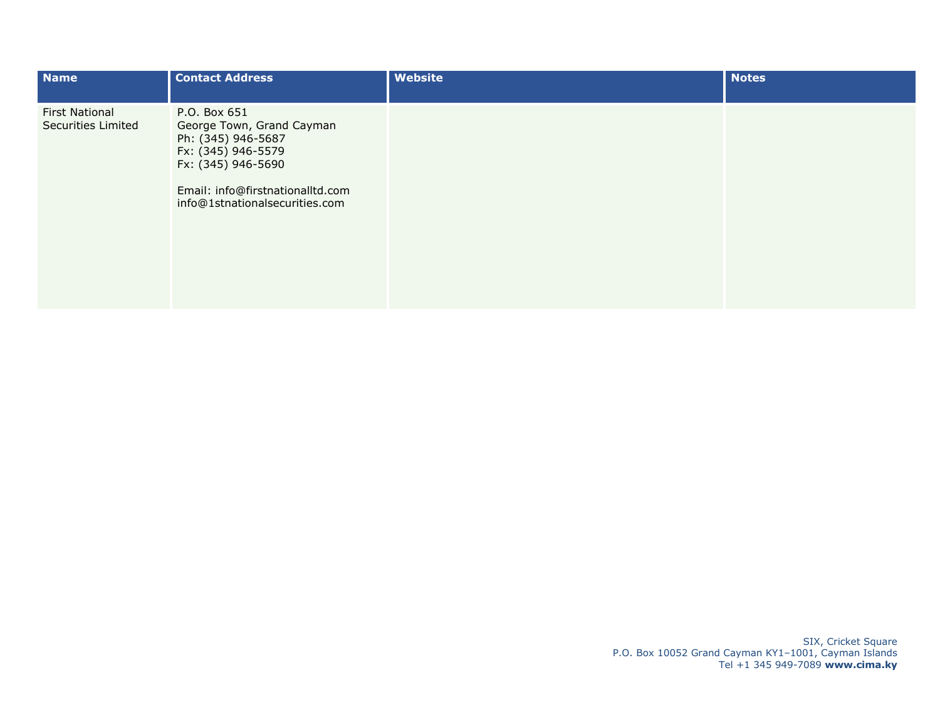| <b>Name</b>                                        | <b>Contact Address</b>                                                                                                                                                            | Website | <b>Notes</b> |
|----------------------------------------------------|-----------------------------------------------------------------------------------------------------------------------------------------------------------------------------------|---------|--------------|
| <b>First National</b><br><b>Securities Limited</b> | P.O. Box 651<br>George Town, Grand Cayman<br>Ph: (345) 946-5687<br>Fx: (345) 946-5579<br>Fx: (345) 946-5690<br>Email: info@firstnationalltd.com<br>info@1stnationalsecurities.com |         |              |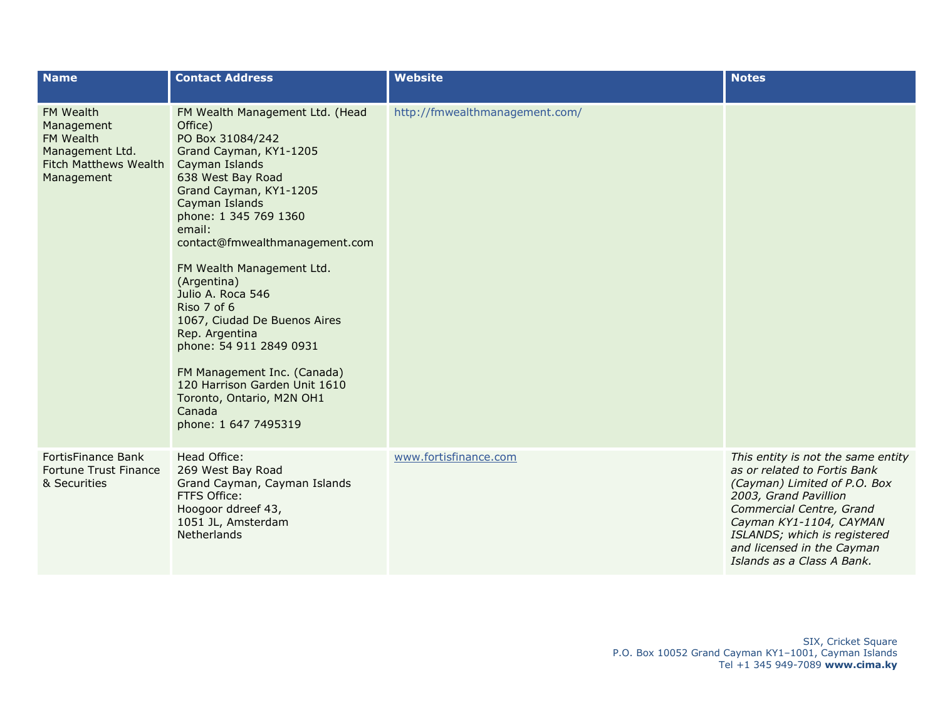| <b>Name</b>                                                                                    | <b>Contact Address</b>                                                                                                                                                                                                                                                                                                                                                                                                                                                                                                                       | <b>Website</b>                 | <b>Notes</b>                                                                                                                                                                                                                                                                   |
|------------------------------------------------------------------------------------------------|----------------------------------------------------------------------------------------------------------------------------------------------------------------------------------------------------------------------------------------------------------------------------------------------------------------------------------------------------------------------------------------------------------------------------------------------------------------------------------------------------------------------------------------------|--------------------------------|--------------------------------------------------------------------------------------------------------------------------------------------------------------------------------------------------------------------------------------------------------------------------------|
| FM Wealth<br>Management<br>FM Wealth<br>Management Ltd.<br>Fitch Matthews Wealth<br>Management | FM Wealth Management Ltd. (Head<br>Office)<br>PO Box 31084/242<br>Grand Cayman, KY1-1205<br>Cayman Islands<br>638 West Bay Road<br>Grand Cayman, KY1-1205<br>Cayman Islands<br>phone: 1 345 769 1360<br>email:<br>contact@fmwealthmanagement.com<br>FM Wealth Management Ltd.<br>(Argentina)<br>Julio A. Roca 546<br>Riso 7 of 6<br>1067, Ciudad De Buenos Aires<br>Rep. Argentina<br>phone: 54 911 2849 0931<br>FM Management Inc. (Canada)<br>120 Harrison Garden Unit 1610<br>Toronto, Ontario, M2N OH1<br>Canada<br>phone: 1 647 7495319 | http://fmwealthmanagement.com/ |                                                                                                                                                                                                                                                                                |
| FortisFinance Bank<br>Fortune Trust Finance<br>& Securities                                    | Head Office:<br>269 West Bay Road<br>Grand Cayman, Cayman Islands<br>FTFS Office:<br>Hoogoor ddreef 43,<br>1051 JL, Amsterdam<br>Netherlands                                                                                                                                                                                                                                                                                                                                                                                                 | www.fortisfinance.com          | This entity is not the same entity<br>as or related to Fortis Bank<br>(Cayman) Limited of P.O. Box<br>2003, Grand Pavillion<br>Commercial Centre, Grand<br>Cayman KY1-1104, CAYMAN<br>ISLANDS; which is registered<br>and licensed in the Cayman<br>Islands as a Class A Bank. |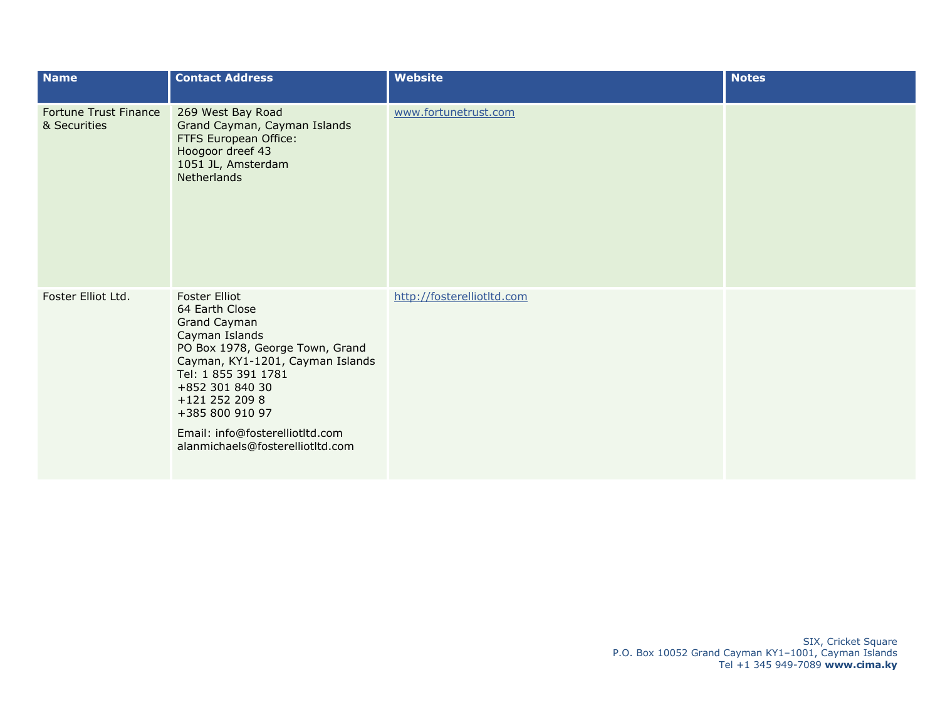| <b>Name</b>                                  | <b>Contact Address</b>                                                                                                                                                                                                                                                                                | Website                    | <b>Notes</b> |
|----------------------------------------------|-------------------------------------------------------------------------------------------------------------------------------------------------------------------------------------------------------------------------------------------------------------------------------------------------------|----------------------------|--------------|
| <b>Fortune Trust Finance</b><br>& Securities | 269 West Bay Road<br>Grand Cayman, Cayman Islands<br>FTFS European Office:<br>Hoogoor dreef 43<br>1051 JL, Amsterdam<br><b>Netherlands</b>                                                                                                                                                            | www.fortunetrust.com       |              |
| Foster Elliot Ltd.                           | <b>Foster Elliot</b><br>64 Earth Close<br>Grand Cayman<br>Cayman Islands<br>PO Box 1978, George Town, Grand<br>Cayman, KY1-1201, Cayman Islands<br>Tel: 1 855 391 1781<br>+852 301 840 30<br>+121 252 209 8<br>+385 800 910 97<br>Email: info@fosterelliotltd.com<br>alanmichaels@fosterelliotltd.com | http://fosterelliotltd.com |              |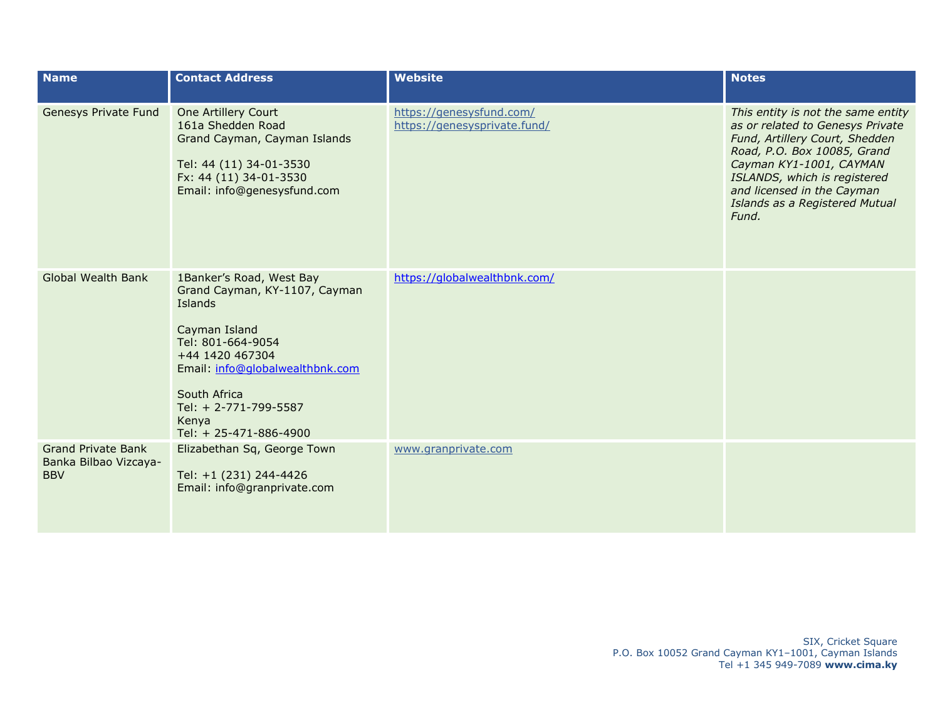| <b>Name</b>                                                      | <b>Contact Address</b>                                                                                                                                                                                                                       | <b>Website</b>                                           | <b>Notes</b>                                                                                                                                                                                                                                                                |
|------------------------------------------------------------------|----------------------------------------------------------------------------------------------------------------------------------------------------------------------------------------------------------------------------------------------|----------------------------------------------------------|-----------------------------------------------------------------------------------------------------------------------------------------------------------------------------------------------------------------------------------------------------------------------------|
| Genesys Private Fund                                             | One Artillery Court<br>161a Shedden Road<br>Grand Cayman, Cayman Islands<br>Tel: 44 (11) 34-01-3530<br>Fx: 44 (11) 34-01-3530<br>Email: info@genesysfund.com                                                                                 | https://genesysfund.com/<br>https://genesysprivate.fund/ | This entity is not the same entity<br>as or related to Genesys Private<br>Fund, Artillery Court, Shedden<br>Road, P.O. Box 10085, Grand<br>Cayman KY1-1001, CAYMAN<br>ISLANDS, which is registered<br>and licensed in the Cayman<br>Islands as a Registered Mutual<br>Fund. |
| <b>Global Wealth Bank</b>                                        | 1Banker's Road, West Bay<br>Grand Cayman, KY-1107, Cayman<br>Islands<br>Cayman Island<br>Tel: 801-664-9054<br>+44 1420 467304<br>Email: info@globalwealthbnk.com<br>South Africa<br>Tel: + 2-771-799-5587<br>Kenya<br>Tel: + 25-471-886-4900 | https://globalwealthbnk.com/                             |                                                                                                                                                                                                                                                                             |
| <b>Grand Private Bank</b><br>Banka Bilbao Vizcaya-<br><b>BBV</b> | Elizabethan Sq, George Town<br>Tel: +1 (231) 244-4426<br>Email: info@granprivate.com                                                                                                                                                         | www.granprivate.com                                      |                                                                                                                                                                                                                                                                             |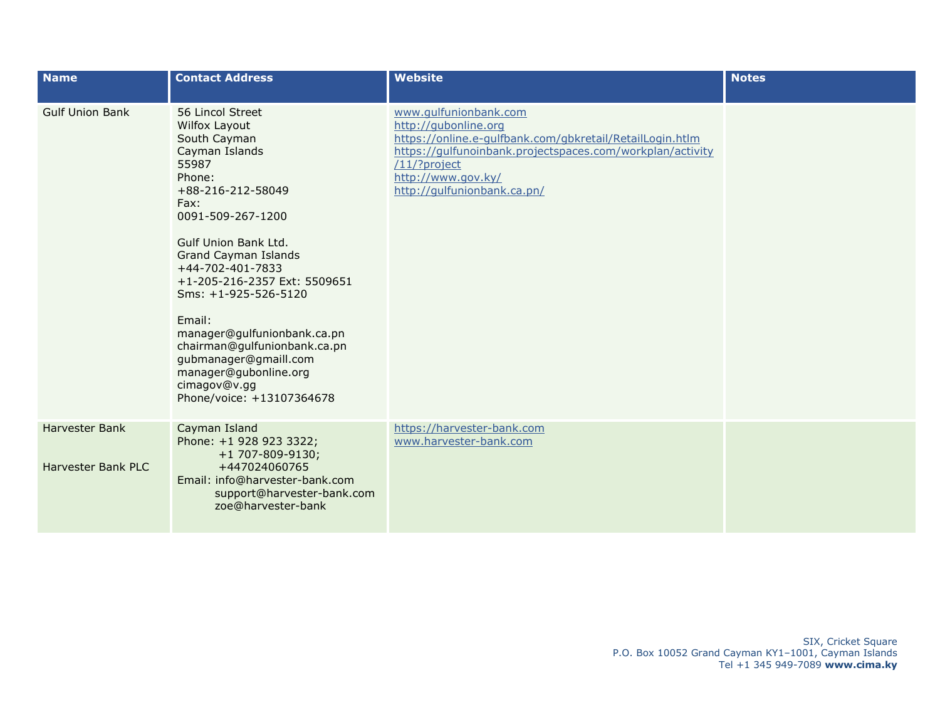| <b>Name</b>                                 | <b>Contact Address</b>                                                                                                                                                                                                                                                                                                                                                                                                                              | <b>Website</b>                                                                                                                                                                                                                              | <b>Notes</b> |
|---------------------------------------------|-----------------------------------------------------------------------------------------------------------------------------------------------------------------------------------------------------------------------------------------------------------------------------------------------------------------------------------------------------------------------------------------------------------------------------------------------------|---------------------------------------------------------------------------------------------------------------------------------------------------------------------------------------------------------------------------------------------|--------------|
| <b>Gulf Union Bank</b>                      | 56 Lincol Street<br>Wilfox Layout<br>South Cayman<br>Cayman Islands<br>55987<br>Phone:<br>+88-216-212-58049<br>Fax:<br>0091-509-267-1200<br>Gulf Union Bank Ltd.<br><b>Grand Cayman Islands</b><br>+44-702-401-7833<br>+1-205-216-2357 Ext: 5509651<br>Sms: +1-925-526-5120<br>Email:<br>manager@gulfunionbank.ca.pn<br>chairman@gulfunionbank.ca.pn<br>gubmanager@gmaill.com<br>manager@gubonline.org<br>cimagov@v.gg<br>Phone/voice: +13107364678 | www.gulfunionbank.com<br>http://gubonline.org<br>https://online.e-gulfbank.com/gbkretail/RetailLogin.htlm<br>https://gulfunoinbank.projectspaces.com/workplan/activity<br>/11/?project<br>http://www.gov.ky/<br>http://gulfunionbank.ca.pn/ |              |
| <b>Harvester Bank</b><br>Harvester Bank PLC | Cayman Island<br>Phone: +1 928 923 3322;<br>+1 707-809-9130;<br>+447024060765<br>Email: info@harvester-bank.com<br>support@harvester-bank.com<br>zoe@harvester-bank                                                                                                                                                                                                                                                                                 | https://harvester-bank.com<br>www.harvester-bank.com                                                                                                                                                                                        |              |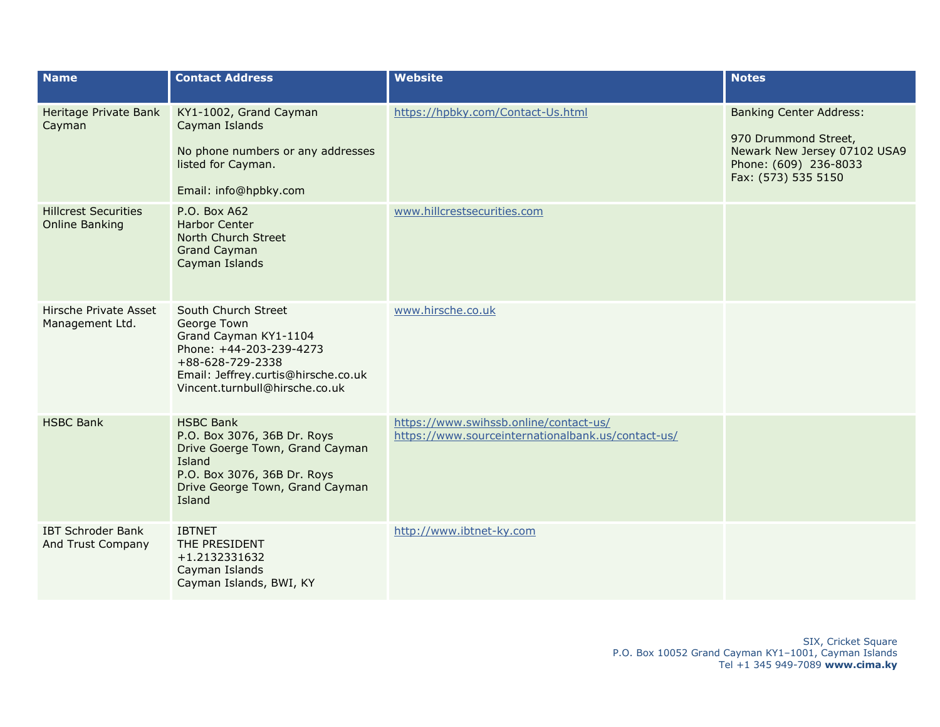| <b>Name</b>                                          | <b>Contact Address</b>                                                                                                                                                              | <b>Website</b>                                                                               | <b>Notes</b>                                                                                                                           |
|------------------------------------------------------|-------------------------------------------------------------------------------------------------------------------------------------------------------------------------------------|----------------------------------------------------------------------------------------------|----------------------------------------------------------------------------------------------------------------------------------------|
| Heritage Private Bank<br>Cayman                      | KY1-1002, Grand Cayman<br>Cayman Islands<br>No phone numbers or any addresses<br>listed for Cayman.<br>Email: info@hpbky.com                                                        | https://hpbky.com/Contact-Us.html                                                            | <b>Banking Center Address:</b><br>970 Drummond Street,<br>Newark New Jersey 07102 USA9<br>Phone: (609) 236-8033<br>Fax: (573) 535 5150 |
| <b>Hillcrest Securities</b><br><b>Online Banking</b> | P.O. Box A62<br><b>Harbor Center</b><br>North Church Street<br><b>Grand Cayman</b><br>Cayman Islands                                                                                | www.hillcrestsecurities.com                                                                  |                                                                                                                                        |
| Hirsche Private Asset<br>Management Ltd.             | South Church Street<br>George Town<br>Grand Cayman KY1-1104<br>Phone: +44-203-239-4273<br>+88-628-729-2338<br>Email: Jeffrey.curtis@hirsche.co.uk<br>Vincent.turnbull@hirsche.co.uk | www.hirsche.co.uk                                                                            |                                                                                                                                        |
| <b>HSBC Bank</b>                                     | <b>HSBC Bank</b><br>P.O. Box 3076, 36B Dr. Roys<br>Drive Goerge Town, Grand Cayman<br>Island<br>P.O. Box 3076, 36B Dr. Roys<br>Drive George Town, Grand Cayman<br>Island            | https://www.swihssb.online/contact-us/<br>https://www.sourceinternationalbank.us/contact-us/ |                                                                                                                                        |
| <b>IBT Schroder Bank</b><br>And Trust Company        | <b>IBTNET</b><br>THE PRESIDENT<br>+1.2132331632<br>Cayman Islands<br>Cayman Islands, BWI, KY                                                                                        | http://www.ibtnet-ky.com                                                                     |                                                                                                                                        |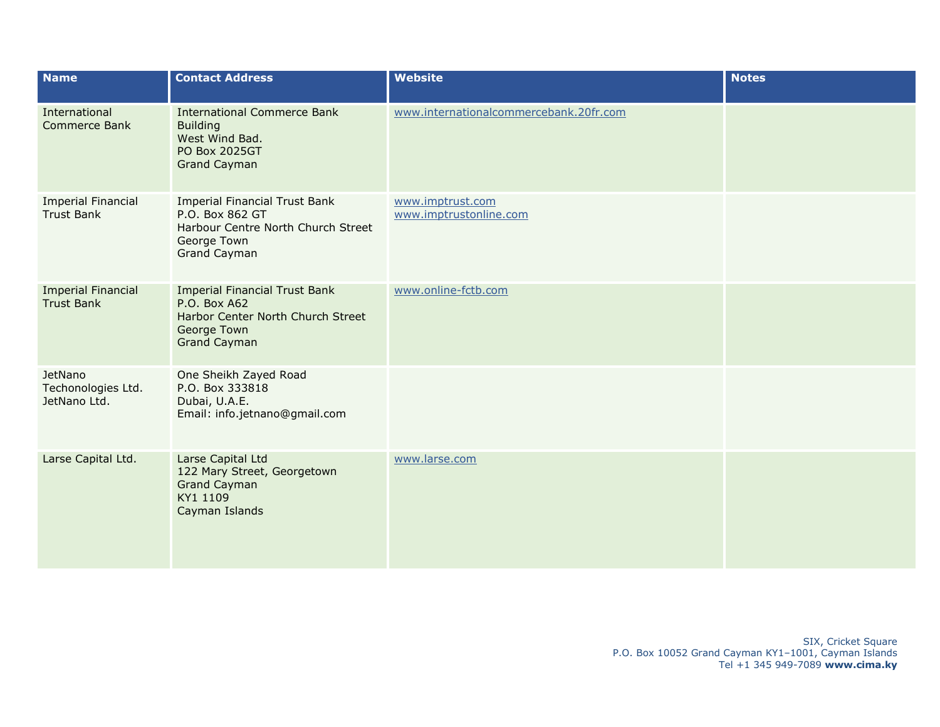| <b>Name</b>                                    | <b>Contact Address</b>                                                                                                              | <b>Website</b>                             | <b>Notes</b> |
|------------------------------------------------|-------------------------------------------------------------------------------------------------------------------------------------|--------------------------------------------|--------------|
| International<br>Commerce Bank                 | <b>International Commerce Bank</b><br><b>Building</b><br>West Wind Bad.<br><b>PO Box 2025GT</b><br><b>Grand Cayman</b>              | www.internationalcommercebank.20fr.com     |              |
| <b>Imperial Financial</b><br><b>Trust Bank</b> | <b>Imperial Financial Trust Bank</b><br>P.O. Box 862 GT<br>Harbour Centre North Church Street<br>George Town<br><b>Grand Cayman</b> | www.imptrust.com<br>www.imptrustonline.com |              |
| <b>Imperial Financial</b><br><b>Trust Bank</b> | <b>Imperial Financial Trust Bank</b><br>P.O. Box A62<br>Harbor Center North Church Street<br>George Town<br><b>Grand Cayman</b>     | www.online-fctb.com                        |              |
| JetNano<br>Techonologies Ltd.<br>JetNano Ltd.  | One Sheikh Zayed Road<br>P.O. Box 333818<br>Dubai, U.A.E.<br>Email: info.jetnano@gmail.com                                          |                                            |              |
| Larse Capital Ltd.                             | Larse Capital Ltd<br>122 Mary Street, Georgetown<br><b>Grand Cayman</b><br>KY1 1109<br>Cayman Islands                               | www.larse.com                              |              |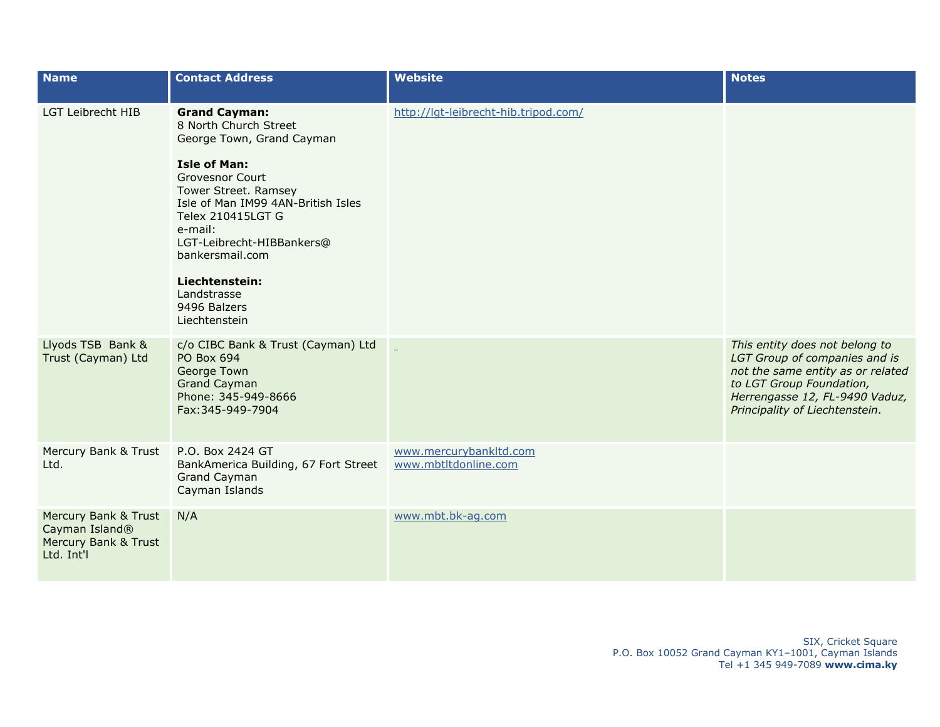| <b>Name</b>                                                                              | <b>Contact Address</b>                                                                                                                                                                      | <b>Website</b>                                 | <b>Notes</b>                                                                                                                                                                                         |
|------------------------------------------------------------------------------------------|---------------------------------------------------------------------------------------------------------------------------------------------------------------------------------------------|------------------------------------------------|------------------------------------------------------------------------------------------------------------------------------------------------------------------------------------------------------|
| <b>LGT Leibrecht HIB</b>                                                                 | <b>Grand Cayman:</b><br>8 North Church Street<br>George Town, Grand Cayman                                                                                                                  | http://lqt-leibrecht-hib.tripod.com/           |                                                                                                                                                                                                      |
|                                                                                          | <b>Isle of Man:</b><br><b>Grovesnor Court</b><br>Tower Street. Ramsey<br>Isle of Man IM99 4AN-British Isles<br>Telex 210415LGT G<br>e-mail:<br>LGT-Leibrecht-HIBBankers@<br>bankersmail.com |                                                |                                                                                                                                                                                                      |
|                                                                                          | Liechtenstein:<br>Landstrasse<br>9496 Balzers<br>Liechtenstein                                                                                                                              |                                                |                                                                                                                                                                                                      |
| Llyods TSB Bank &<br>Trust (Cayman) Ltd                                                  | c/o CIBC Bank & Trust (Cayman) Ltd<br>PO Box 694<br>George Town<br><b>Grand Cayman</b><br>Phone: 345-949-8666<br>Fax: 345-949-7904                                                          |                                                | This entity does not belong to<br>LGT Group of companies and is<br>not the same entity as or related<br>to LGT Group Foundation,<br>Herrengasse 12, FL-9490 Vaduz,<br>Principality of Liechtenstein. |
| Mercury Bank & Trust<br>Ltd.                                                             | P.O. Box 2424 GT<br>BankAmerica Building, 67 Fort Street<br><b>Grand Cayman</b><br>Cayman Islands                                                                                           | www.mercurybankltd.com<br>www.mbtltdonline.com |                                                                                                                                                                                                      |
| Mercury Bank & Trust<br>Cayman Island <sup>®</sup><br>Mercury Bank & Trust<br>Ltd. Int'l | N/A                                                                                                                                                                                         | www.mbt.bk-ag.com                              |                                                                                                                                                                                                      |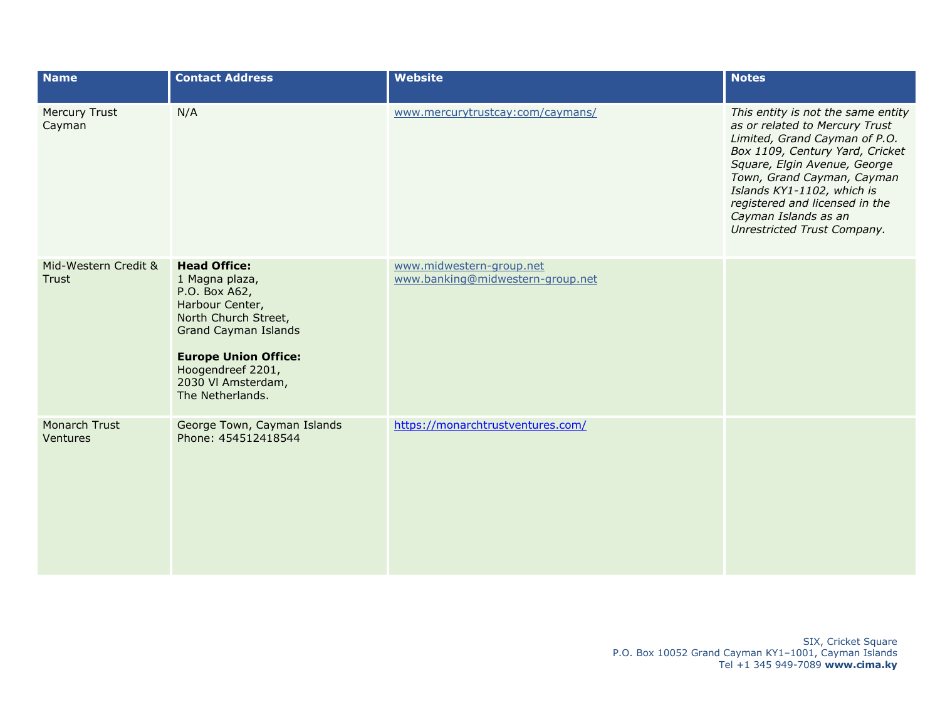| <b>Name</b>                    | <b>Contact Address</b>                                                                                                                                                                                                         | <b>Website</b>                                               | <b>Notes</b>                                                                                                                                                                                                                                                                                                                  |
|--------------------------------|--------------------------------------------------------------------------------------------------------------------------------------------------------------------------------------------------------------------------------|--------------------------------------------------------------|-------------------------------------------------------------------------------------------------------------------------------------------------------------------------------------------------------------------------------------------------------------------------------------------------------------------------------|
| <b>Mercury Trust</b><br>Cayman | N/A                                                                                                                                                                                                                            | www.mercurytrustcay:com/caymans/                             | This entity is not the same entity<br>as or related to Mercury Trust<br>Limited, Grand Cayman of P.O.<br>Box 1109, Century Yard, Cricket<br>Square, Elgin Avenue, George<br>Town, Grand Cayman, Cayman<br>Islands KY1-1102, which is<br>registered and licensed in the<br>Cayman Islands as an<br>Unrestricted Trust Company. |
| Mid-Western Credit &<br>Trust  | <b>Head Office:</b><br>1 Magna plaza,<br>P.O. Box A62,<br>Harbour Center,<br>North Church Street,<br><b>Grand Cayman Islands</b><br><b>Europe Union Office:</b><br>Hoogendreef 2201,<br>2030 VI Amsterdam,<br>The Netherlands. | www.midwestern-group.net<br>www.banking@midwestern-group.net |                                                                                                                                                                                                                                                                                                                               |
| Monarch Trust<br>Ventures      | George Town, Cayman Islands<br>Phone: 454512418544                                                                                                                                                                             | https://monarchtrustventures.com/                            |                                                                                                                                                                                                                                                                                                                               |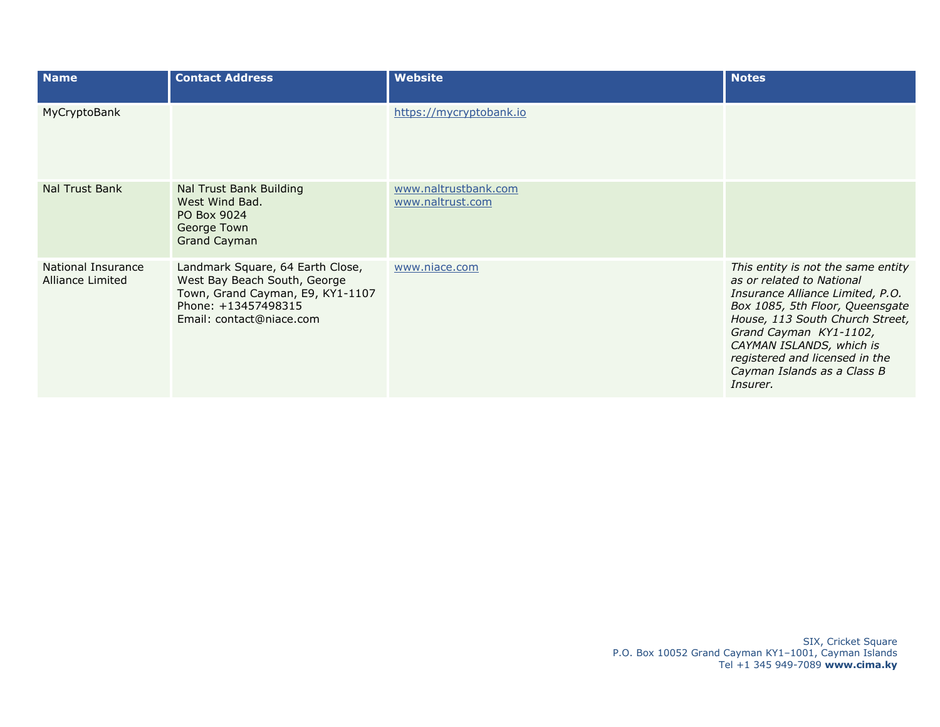| <b>Name</b>                            | <b>Contact Address</b>                                                                                                                                  | <b>Website</b>                           | <b>Notes</b>                                                                                                                                                                                                                                                                                                 |
|----------------------------------------|---------------------------------------------------------------------------------------------------------------------------------------------------------|------------------------------------------|--------------------------------------------------------------------------------------------------------------------------------------------------------------------------------------------------------------------------------------------------------------------------------------------------------------|
| MyCryptoBank                           |                                                                                                                                                         | https://mycryptobank.io                  |                                                                                                                                                                                                                                                                                                              |
| Nal Trust Bank                         | Nal Trust Bank Building<br>West Wind Bad.<br>PO Box 9024<br>George Town<br><b>Grand Cayman</b>                                                          | www.naltrustbank.com<br>www.naltrust.com |                                                                                                                                                                                                                                                                                                              |
| National Insurance<br>Alliance Limited | Landmark Square, 64 Earth Close,<br>West Bay Beach South, George<br>Town, Grand Cayman, E9, KY1-1107<br>Phone: +13457498315<br>Email: contact@niace.com | www.niace.com                            | This entity is not the same entity<br>as or related to National<br>Insurance Alliance Limited, P.O.<br>Box 1085, 5th Floor, Queensgate<br>House, 113 South Church Street,<br>Grand Cayman KY1-1102,<br>CAYMAN ISLANDS, which is<br>registered and licensed in the<br>Cayman Islands as a Class B<br>Insurer. |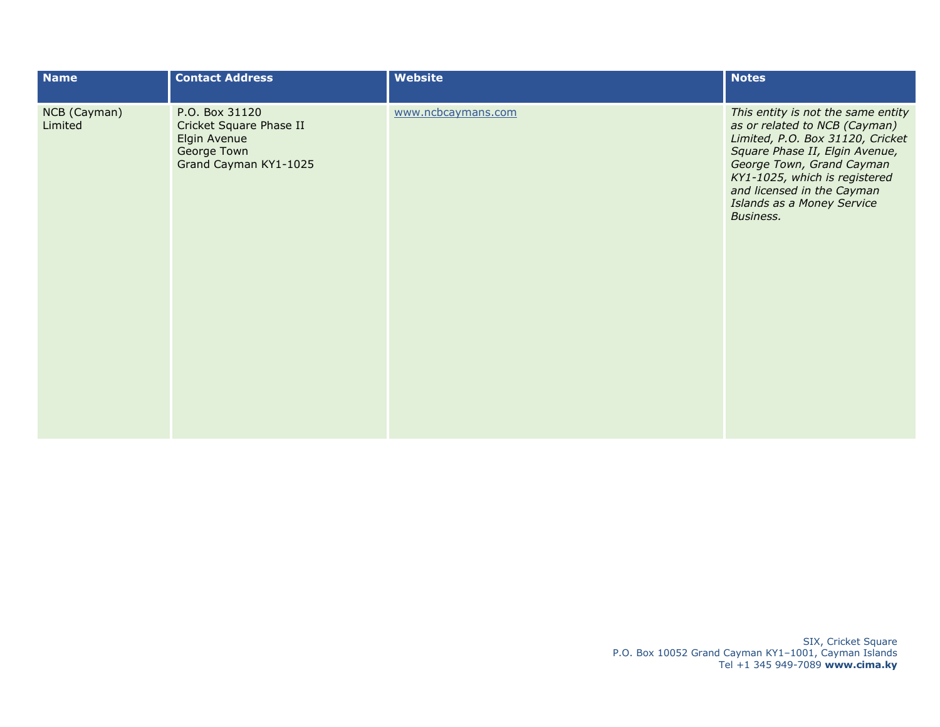| <b>Name</b>             | <b>Contact Address</b>                                                                            | Website            | <b>Notes</b>                                                                                                                                                                                                                                                                     |
|-------------------------|---------------------------------------------------------------------------------------------------|--------------------|----------------------------------------------------------------------------------------------------------------------------------------------------------------------------------------------------------------------------------------------------------------------------------|
| NCB (Cayman)<br>Limited | P.O. Box 31120<br>Cricket Square Phase II<br>Elgin Avenue<br>George Town<br>Grand Cayman KY1-1025 | www.ncbcaymans.com | This entity is not the same entity<br>as or related to NCB (Cayman)<br>Limited, P.O. Box 31120, Cricket<br>Square Phase II, Elgin Avenue,<br>George Town, Grand Cayman<br>KY1-1025, which is registered<br>and licensed in the Cayman<br>Islands as a Money Service<br>Business. |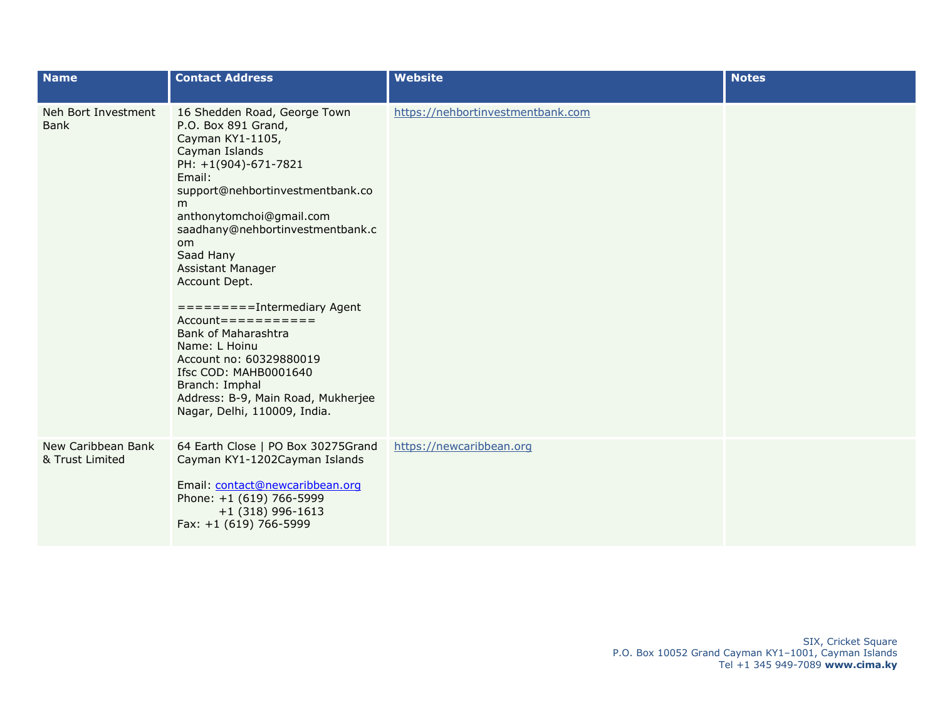| <b>Name</b>                           | <b>Contact Address</b>                                                                                                                                                                                                                                                                                                                                                                                                                                                                  | <b>Website</b>                    | <b>Notes</b> |
|---------------------------------------|-----------------------------------------------------------------------------------------------------------------------------------------------------------------------------------------------------------------------------------------------------------------------------------------------------------------------------------------------------------------------------------------------------------------------------------------------------------------------------------------|-----------------------------------|--------------|
| Neh Bort Investment<br><b>Bank</b>    | 16 Shedden Road, George Town<br>P.O. Box 891 Grand,<br>Cayman KY1-1105,<br>Cayman Islands<br>PH: +1(904)-671-7821<br>Email:<br>support@nehbortinvestmentbank.co<br>m<br>anthonytomchoi@gmail.com<br>saadhany@nehbortinvestmentbank.c<br><sub>om</sub><br>Saad Hany<br>Assistant Manager<br>Account Dept.<br>$=======Intermediary Agent$<br>$Account == == == == == == ==$<br>Bank of Maharashtra<br>Name: L Hoinu<br>Account no: 60329880019<br>Ifsc COD: MAHB0001640<br>Branch: Imphal | https://nehbortinvestmentbank.com |              |
|                                       | Address: B-9, Main Road, Mukherjee<br>Nagar, Delhi, 110009, India.                                                                                                                                                                                                                                                                                                                                                                                                                      |                                   |              |
| New Caribbean Bank<br>& Trust Limited | 64 Earth Close   PO Box 30275Grand<br>Cayman KY1-1202Cayman Islands<br>Email: contact@newcaribbean.org<br>Phone: +1 (619) 766-5999<br>$+1$ (318) 996-1613<br>Fax: +1 (619) 766-5999                                                                                                                                                                                                                                                                                                     | https://newcaribbean.org          |              |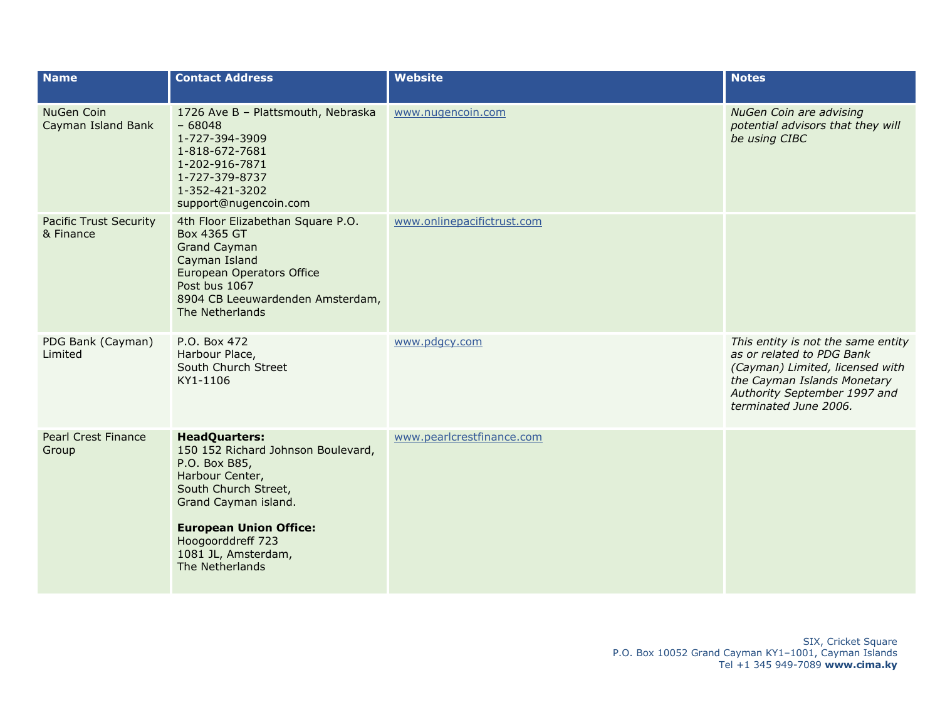| <b>Name</b>                                | <b>Contact Address</b>                                                                                                                                                                                                                         | <b>Website</b>             | <b>Notes</b>                                                                                                                                                                               |
|--------------------------------------------|------------------------------------------------------------------------------------------------------------------------------------------------------------------------------------------------------------------------------------------------|----------------------------|--------------------------------------------------------------------------------------------------------------------------------------------------------------------------------------------|
| <b>NuGen Coin</b><br>Cayman Island Bank    | 1726 Ave B - Plattsmouth, Nebraska<br>$-68048$<br>1-727-394-3909<br>1-818-672-7681<br>1-202-916-7871<br>1-727-379-8737<br>1-352-421-3202<br>support@nugencoin.com                                                                              | www.nugencoin.com          | <b>NuGen Coin are advising</b><br>potential advisors that they will<br>be using CIBC                                                                                                       |
| <b>Pacific Trust Security</b><br>& Finance | 4th Floor Elizabethan Square P.O.<br>Box 4365 GT<br><b>Grand Cayman</b><br>Cayman Island<br>European Operators Office<br>Post bus 1067<br>8904 CB Leeuwardenden Amsterdam,<br>The Netherlands                                                  | www.onlinepacifictrust.com |                                                                                                                                                                                            |
| PDG Bank (Cayman)<br>Limited               | P.O. Box 472<br>Harbour Place,<br>South Church Street<br>KY1-1106                                                                                                                                                                              | www.pdgcy.com              | This entity is not the same entity<br>as or related to PDG Bank<br>(Cayman) Limited, licensed with<br>the Cayman Islands Monetary<br>Authority September 1997 and<br>terminated June 2006. |
| <b>Pearl Crest Finance</b><br>Group        | <b>HeadQuarters:</b><br>150 152 Richard Johnson Boulevard,<br>P.O. Box B85,<br>Harbour Center,<br>South Church Street,<br>Grand Cayman island.<br><b>European Union Office:</b><br>Hoogoorddreff 723<br>1081 JL, Amsterdam,<br>The Netherlands | www.pearlcrestfinance.com  |                                                                                                                                                                                            |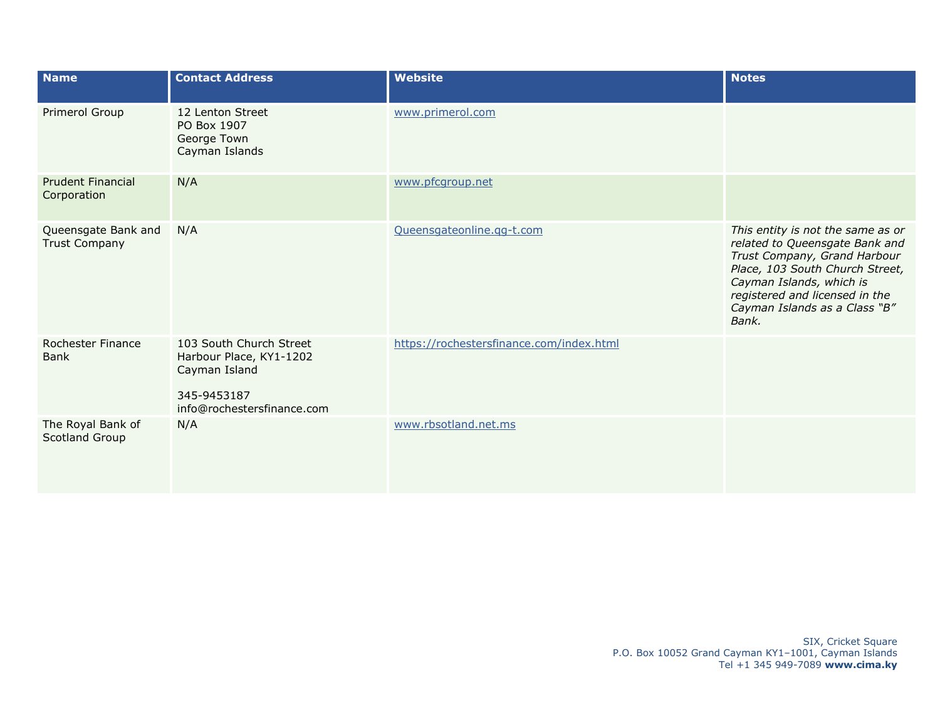| <b>Name</b>                                 | <b>Contact Address</b>                                                                                           | <b>Website</b>                           | <b>Notes</b>                                                                                                                                                                                                                                   |
|---------------------------------------------|------------------------------------------------------------------------------------------------------------------|------------------------------------------|------------------------------------------------------------------------------------------------------------------------------------------------------------------------------------------------------------------------------------------------|
| Primerol Group                              | 12 Lenton Street<br>PO Box 1907<br>George Town<br>Cayman Islands                                                 | www.primerol.com                         |                                                                                                                                                                                                                                                |
| <b>Prudent Financial</b><br>Corporation     | N/A                                                                                                              | www.pfcgroup.net                         |                                                                                                                                                                                                                                                |
| Queensgate Bank and<br><b>Trust Company</b> | N/A                                                                                                              | Queensgateonline.gg-t.com                | This entity is not the same as or<br>related to Queensgate Bank and<br>Trust Company, Grand Harbour<br>Place, 103 South Church Street,<br>Cayman Islands, which is<br>registered and licensed in the<br>Cayman Islands as a Class "B"<br>Bank. |
| <b>Rochester Finance</b><br><b>Bank</b>     | 103 South Church Street<br>Harbour Place, KY1-1202<br>Cayman Island<br>345-9453187<br>info@rochestersfinance.com | https://rochestersfinance.com/index.html |                                                                                                                                                                                                                                                |
| The Royal Bank of<br>Scotland Group         | N/A                                                                                                              | www.rbsotland.net.ms                     |                                                                                                                                                                                                                                                |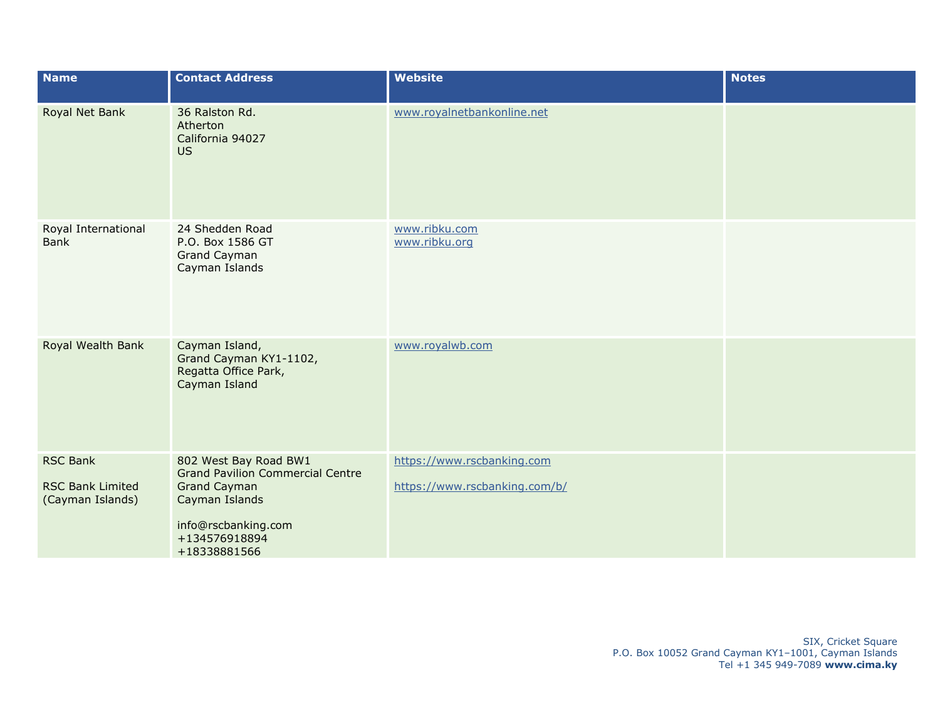| <b>Name</b>                                                    | <b>Contact Address</b>                                                                                                                                            | <b>Website</b>                                              | <b>Notes</b> |
|----------------------------------------------------------------|-------------------------------------------------------------------------------------------------------------------------------------------------------------------|-------------------------------------------------------------|--------------|
| Royal Net Bank                                                 | 36 Ralston Rd.<br>Atherton<br>California 94027<br><b>US</b>                                                                                                       | www.royalnetbankonline.net                                  |              |
| Royal International<br>Bank                                    | 24 Shedden Road<br>P.O. Box 1586 GT<br><b>Grand Cayman</b><br>Cayman Islands                                                                                      | www.ribku.com<br>www.ribku.org                              |              |
| Royal Wealth Bank                                              | Cayman Island,<br>Grand Cayman KY1-1102,<br>Regatta Office Park,<br>Cayman Island                                                                                 | www.royalwb.com                                             |              |
| <b>RSC Bank</b><br><b>RSC Bank Limited</b><br>(Cayman Islands) | 802 West Bay Road BW1<br><b>Grand Pavilion Commercial Centre</b><br><b>Grand Cayman</b><br>Cayman Islands<br>info@rscbanking.com<br>+134576918894<br>+18338881566 | https://www.rscbanking.com<br>https://www.rscbanking.com/b/ |              |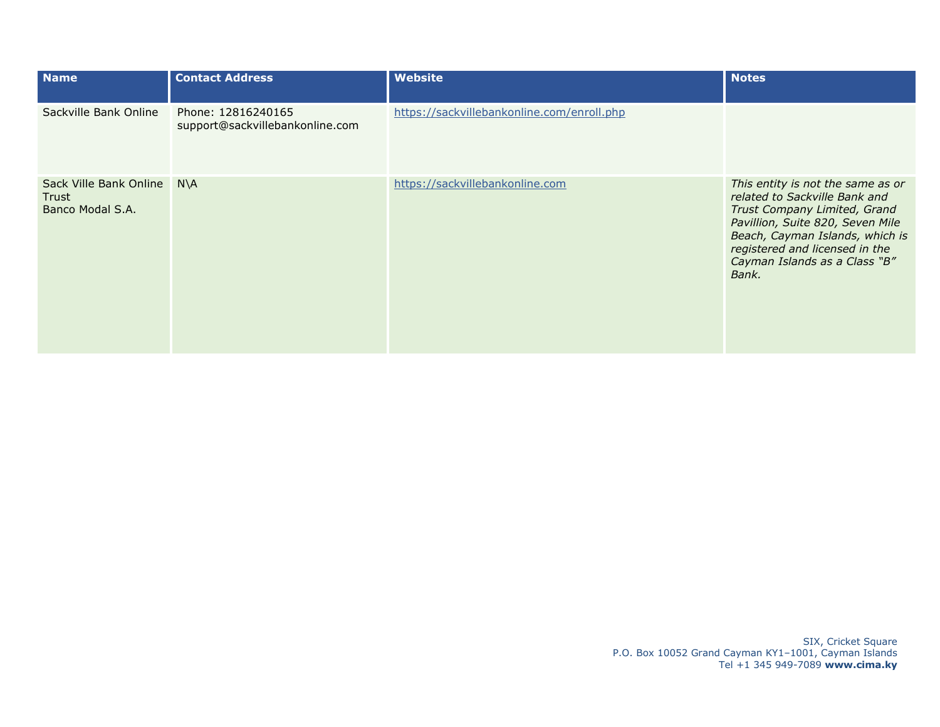| <b>Name</b>                                         | <b>Contact Address</b>                                | <b>Website</b>                             | <b>Notes</b>                                                                                                                                                                                                                                          |
|-----------------------------------------------------|-------------------------------------------------------|--------------------------------------------|-------------------------------------------------------------------------------------------------------------------------------------------------------------------------------------------------------------------------------------------------------|
| Sackville Bank Online                               | Phone: 12816240165<br>support@sackvillebankonline.com | https://sackvillebankonline.com/enroll.php |                                                                                                                                                                                                                                                       |
| Sack Ville Bank Online<br>Trust<br>Banco Modal S.A. | $N\setminus A$                                        | https://sackvillebankonline.com            | This entity is not the same as or<br>related to Sackville Bank and<br>Trust Company Limited, Grand<br>Pavillion, Suite 820, Seven Mile<br>Beach, Cayman Islands, which is<br>registered and licensed in the<br>Cayman Islands as a Class "B"<br>Bank. |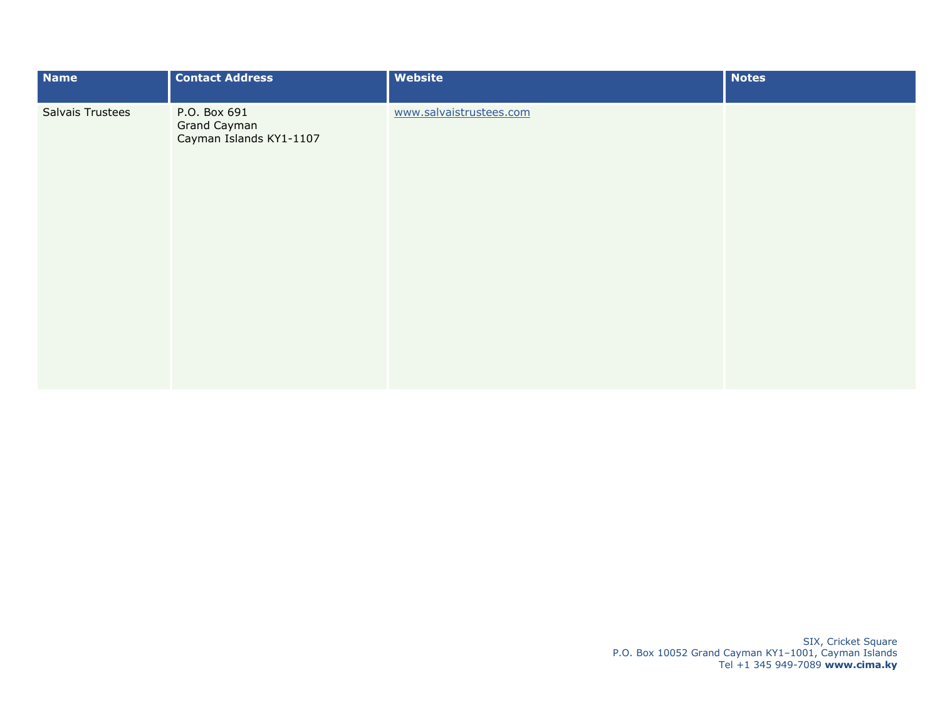| Name                    | <b>Contact Address</b>                                  | <b>Website</b>          | <b>Notes</b> |
|-------------------------|---------------------------------------------------------|-------------------------|--------------|
| <b>Salvais Trustees</b> | P.O. Box 691<br>Grand Cayman<br>Cayman Islands KY1-1107 | www.salvaistrustees.com |              |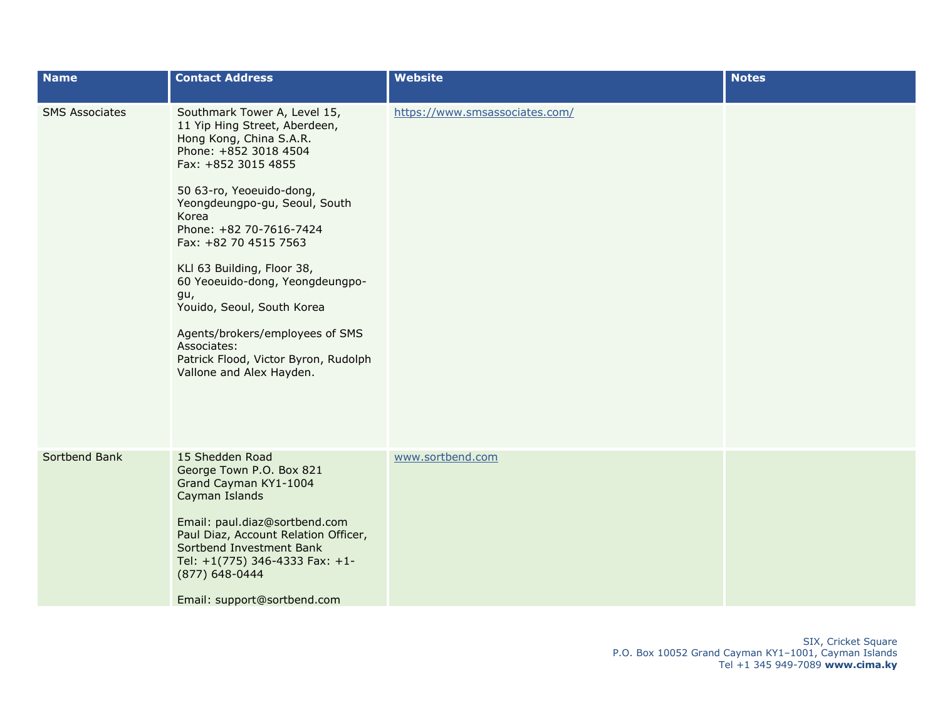| <b>Name</b>           | <b>Contact Address</b>                                                                                                                                | <b>Website</b>                 | <b>Notes</b> |
|-----------------------|-------------------------------------------------------------------------------------------------------------------------------------------------------|--------------------------------|--------------|
| <b>SMS Associates</b> | Southmark Tower A, Level 15,<br>11 Yip Hing Street, Aberdeen,<br>Hong Kong, China S.A.R.<br>Phone: +852 3018 4504<br>Fax: +852 3015 4855              | https://www.smsassociates.com/ |              |
|                       | 50 63-ro, Yeoeuido-dong,<br>Yeongdeungpo-gu, Seoul, South<br>Korea<br>Phone: +82 70-7616-7424<br>Fax: +82 70 4515 7563                                |                                |              |
|                       | KLI 63 Building, Floor 38,<br>60 Yeoeuido-dong, Yeongdeungpo-<br>gu,<br>Youido, Seoul, South Korea                                                    |                                |              |
|                       | Agents/brokers/employees of SMS<br>Associates:<br>Patrick Flood, Victor Byron, Rudolph<br>Vallone and Alex Hayden.                                    |                                |              |
| Sortbend Bank         | 15 Shedden Road<br>George Town P.O. Box 821<br>Grand Cayman KY1-1004<br>Cayman Islands                                                                | www.sortbend.com               |              |
|                       | Email: paul.diaz@sortbend.com<br>Paul Diaz, Account Relation Officer,<br>Sortbend Investment Bank<br>Tel: +1(775) 346-4333 Fax: +1-<br>(877) 648-0444 |                                |              |
|                       | Email: support@sortbend.com                                                                                                                           |                                |              |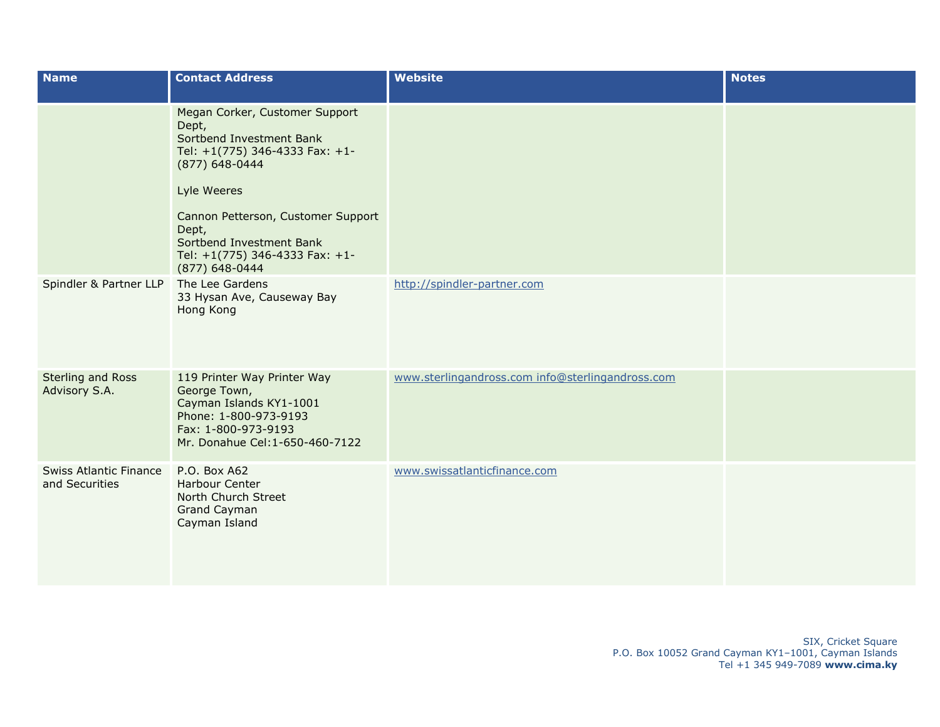| <b>Name</b>                                     | <b>Contact Address</b>                                                                                                                                                                                                                                                | <b>Website</b>                                   | <b>Notes</b> |
|-------------------------------------------------|-----------------------------------------------------------------------------------------------------------------------------------------------------------------------------------------------------------------------------------------------------------------------|--------------------------------------------------|--------------|
|                                                 | Megan Corker, Customer Support<br>Dept,<br>Sortbend Investment Bank<br>Tel: +1(775) 346-4333 Fax: +1-<br>(877) 648-0444<br>Lyle Weeres<br>Cannon Petterson, Customer Support<br>Dept,<br>Sortbend Investment Bank<br>Tel: +1(775) 346-4333 Fax: +1-<br>(877) 648-0444 |                                                  |              |
| Spindler & Partner LLP                          | The Lee Gardens<br>33 Hysan Ave, Causeway Bay<br>Hong Kong                                                                                                                                                                                                            | http://spindler-partner.com                      |              |
| <b>Sterling and Ross</b><br>Advisory S.A.       | 119 Printer Way Printer Way<br>George Town,<br>Cayman Islands KY1-1001<br>Phone: 1-800-973-9193<br>Fax: 1-800-973-9193<br>Mr. Donahue Cel: 1-650-460-7122                                                                                                             | www.sterlingandross.com info@sterlingandross.com |              |
| <b>Swiss Atlantic Finance</b><br>and Securities | P.O. Box A62<br><b>Harbour Center</b><br>North Church Street<br>Grand Cayman<br>Cayman Island                                                                                                                                                                         | www.swissatlanticfinance.com                     |              |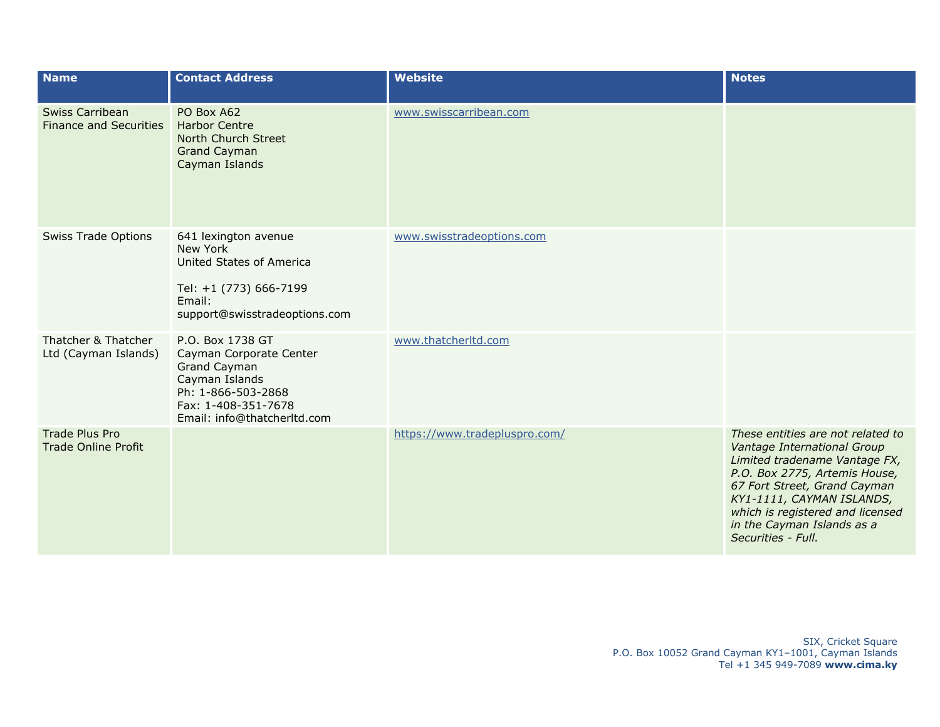| <b>Name</b>                                             | <b>Contact Address</b>                                                                                                                                    | <b>Website</b>                | <b>Notes</b>                                                                                                                                                                                                                                                                            |
|---------------------------------------------------------|-----------------------------------------------------------------------------------------------------------------------------------------------------------|-------------------------------|-----------------------------------------------------------------------------------------------------------------------------------------------------------------------------------------------------------------------------------------------------------------------------------------|
| <b>Swiss Carribean</b><br><b>Finance and Securities</b> | PO Box A62<br><b>Harbor Centre</b><br>North Church Street<br><b>Grand Cayman</b><br>Cayman Islands                                                        | www.swisscarribean.com        |                                                                                                                                                                                                                                                                                         |
| <b>Swiss Trade Options</b>                              | 641 lexington avenue<br>New York<br>United States of America<br>Tel: +1 (773) 666-7199<br>Email:<br>support@swisstradeoptions.com                         | www.swisstradeoptions.com     |                                                                                                                                                                                                                                                                                         |
| Thatcher & Thatcher<br>Ltd (Cayman Islands)             | P.O. Box 1738 GT<br>Cayman Corporate Center<br>Grand Cayman<br>Cayman Islands<br>Ph: 1-866-503-2868<br>Fax: 1-408-351-7678<br>Email: info@thatcherltd.com | www.thatcherltd.com           |                                                                                                                                                                                                                                                                                         |
| <b>Trade Plus Pro</b><br><b>Trade Online Profit</b>     |                                                                                                                                                           | https://www.tradepluspro.com/ | These entities are not related to<br>Vantage International Group<br>Limited tradename Vantage FX,<br>P.O. Box 2775, Artemis House,<br>67 Fort Street, Grand Cayman<br>KY1-1111, CAYMAN ISLANDS,<br>which is registered and licensed<br>in the Cayman Islands as a<br>Securities - Full. |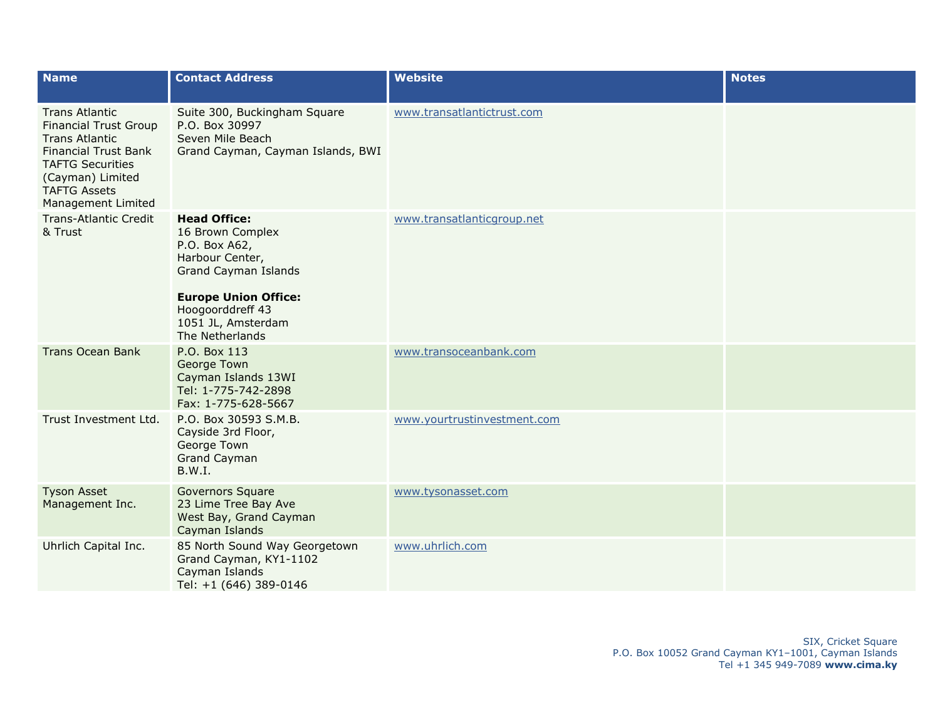| <b>Name</b>                                                                                                                                                                                               | <b>Contact Address</b>                                                                                                                                                                          | <b>Website</b>              | <b>Notes</b> |
|-----------------------------------------------------------------------------------------------------------------------------------------------------------------------------------------------------------|-------------------------------------------------------------------------------------------------------------------------------------------------------------------------------------------------|-----------------------------|--------------|
| <b>Trans Atlantic</b><br><b>Financial Trust Group</b><br><b>Trans Atlantic</b><br><b>Financial Trust Bank</b><br><b>TAFTG Securities</b><br>(Cayman) Limited<br><b>TAFTG Assets</b><br>Management Limited | Suite 300, Buckingham Square<br>P.O. Box 30997<br>Seven Mile Beach<br>Grand Cayman, Cayman Islands, BWI                                                                                         | www.transatlantictrust.com  |              |
| <b>Trans-Atlantic Credit</b><br>& Trust                                                                                                                                                                   | <b>Head Office:</b><br>16 Brown Complex<br>P.O. Box A62,<br>Harbour Center,<br>Grand Cayman Islands<br><b>Europe Union Office:</b><br>Hoogoorddreff 43<br>1051 JL, Amsterdam<br>The Netherlands | www.transatlanticgroup.net  |              |
| <b>Trans Ocean Bank</b>                                                                                                                                                                                   | P.O. Box 113<br>George Town<br>Cayman Islands 13WI<br>Tel: 1-775-742-2898<br>Fax: 1-775-628-5667                                                                                                | www.transoceanbank.com      |              |
| Trust Investment Ltd.                                                                                                                                                                                     | P.O. Box 30593 S.M.B.<br>Cayside 3rd Floor,<br>George Town<br><b>Grand Cayman</b><br><b>B.W.I.</b>                                                                                              | www.yourtrustinvestment.com |              |
| <b>Tyson Asset</b><br>Management Inc.                                                                                                                                                                     | <b>Governors Square</b><br>23 Lime Tree Bay Ave<br>West Bay, Grand Cayman<br>Cayman Islands                                                                                                     | www.tysonasset.com          |              |
| Uhrlich Capital Inc.                                                                                                                                                                                      | 85 North Sound Way Georgetown<br>Grand Cayman, KY1-1102<br>Cayman Islands<br>Tel: +1 (646) 389-0146                                                                                             | www.uhrlich.com             |              |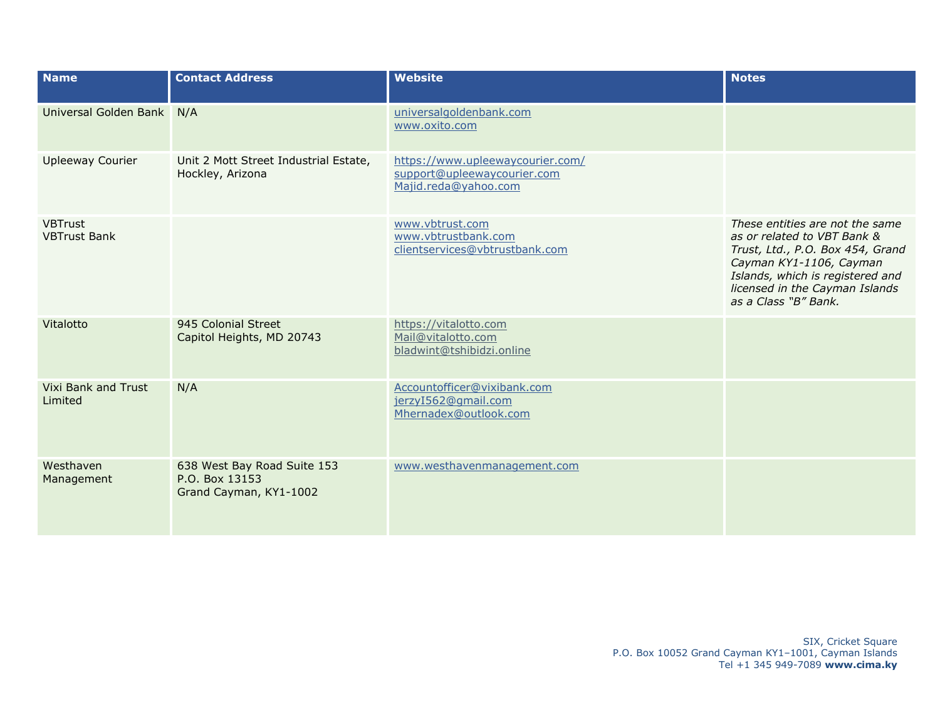| <b>Name</b>                           | <b>Contact Address</b>                                                  | <b>Website</b>                                                                          | <b>Notes</b>                                                                                                                                                                                                                |
|---------------------------------------|-------------------------------------------------------------------------|-----------------------------------------------------------------------------------------|-----------------------------------------------------------------------------------------------------------------------------------------------------------------------------------------------------------------------------|
| Universal Golden Bank N/A             |                                                                         | universalgoldenbank.com<br>www.oxito.com                                                |                                                                                                                                                                                                                             |
| <b>Upleeway Courier</b>               | Unit 2 Mott Street Industrial Estate,<br>Hockley, Arizona               | https://www.upleewaycourier.com/<br>support@upleewaycourier.com<br>Majid.reda@yahoo.com |                                                                                                                                                                                                                             |
| <b>VBTrust</b><br><b>VBTrust Bank</b> |                                                                         | www.vbtrust.com<br>www.vbtrustbank.com<br>clientservices@vbtrustbank.com                | These entities are not the same<br>as or related to VBT Bank &<br>Trust, Ltd., P.O. Box 454, Grand<br>Cayman KY1-1106, Cayman<br>Islands, which is registered and<br>licensed in the Cayman Islands<br>as a Class "B" Bank. |
| Vitalotto                             | 945 Colonial Street<br>Capitol Heights, MD 20743                        | https://vitalotto.com<br>Mail@vitalotto.com<br>bladwint@tshibidzi.online                |                                                                                                                                                                                                                             |
| Vixi Bank and Trust<br>Limited        | N/A                                                                     | Accountofficer@vixibank.com<br>jerzyI562@gmail.com<br>Mhernadex@outlook.com             |                                                                                                                                                                                                                             |
| Westhaven<br>Management               | 638 West Bay Road Suite 153<br>P.O. Box 13153<br>Grand Cayman, KY1-1002 | www.westhavenmanagement.com                                                             |                                                                                                                                                                                                                             |